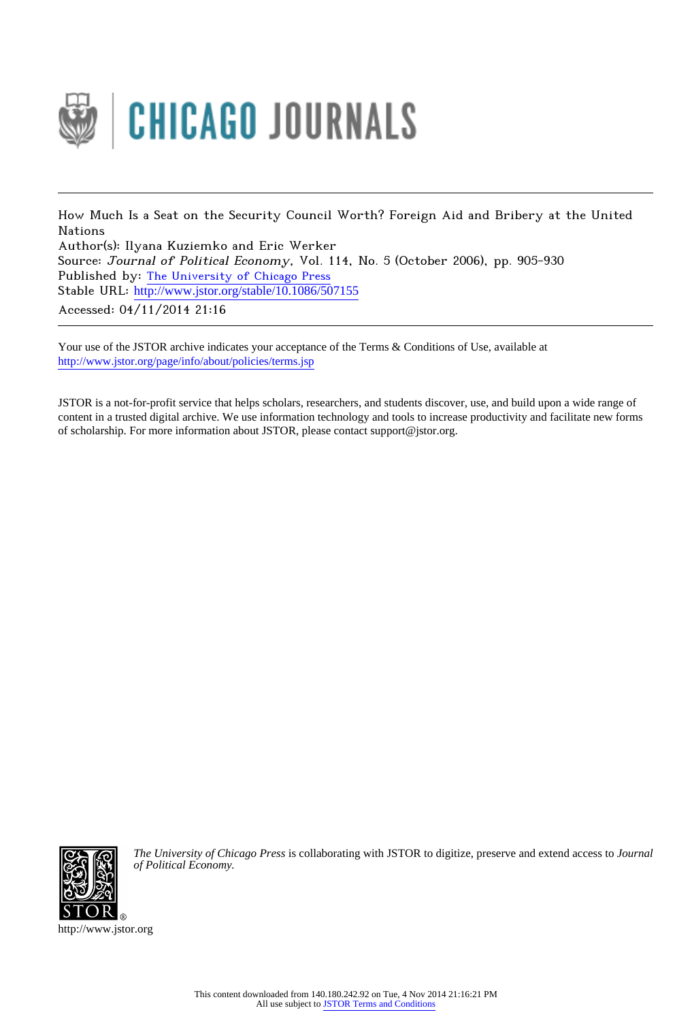

How Much Is a Seat on the Security Council Worth? Foreign Aid and Bribery at the United Nations

Author(s): Ilyana Kuziemko and Eric Werker Source: Journal of Political Economy, Vol. 114, No. 5 (October 2006), pp. 905-930 Published by: [The University of Chicago Press](http://www.jstor.org/action/showPublisher?publisherCode=ucpress) Stable URL: http://www.jstor.org/stable/10.1086/507155 Accessed: 04/11/2014 21:16

Your use of the JSTOR archive indicates your acceptance of the Terms & Conditions of Use, available at <http://www.jstor.org/page/info/about/policies/terms.jsp>

JSTOR is a not-for-profit service that helps scholars, researchers, and students discover, use, and build upon a wide range of content in a trusted digital archive. We use information technology and tools to increase productivity and facilitate new forms of scholarship. For more information about JSTOR, please contact support@jstor.org.



*The University of Chicago Press* is collaborating with JSTOR to digitize, preserve and extend access to *Journal of Political Economy.*

http://www.jstor.org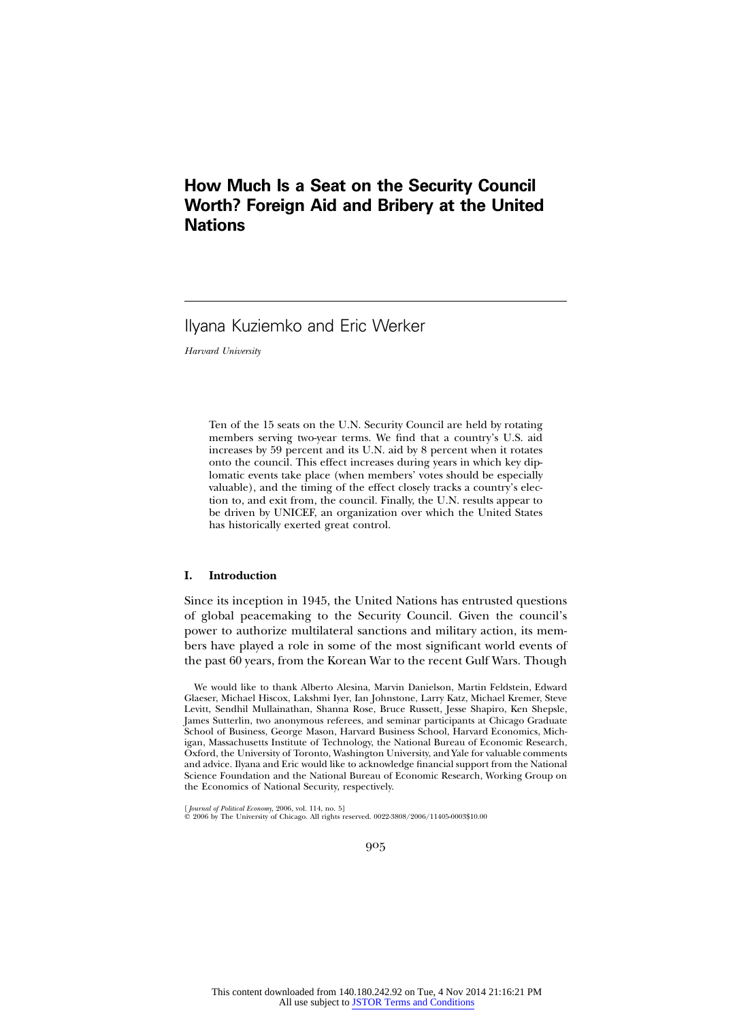# **How Much Is a Seat on the Security Council Worth? Foreign Aid and Bribery at the United Nations**

Ilyana Kuziemko and Eric Werker

*Harvard University*

Ten of the 15 seats on the U.N. Security Council are held by rotating members serving two-year terms. We find that a country's U.S. aid increases by 59 percent and its U.N. aid by 8 percent when it rotates onto the council. This effect increases during years in which key diplomatic events take place (when members' votes should be especially valuable), and the timing of the effect closely tracks a country's election to, and exit from, the council. Finally, the U.N. results appear to be driven by UNICEF, an organization over which the United States has historically exerted great control.

### **I. Introduction**

Since its inception in 1945, the United Nations has entrusted questions of global peacemaking to the Security Council. Given the council's power to authorize multilateral sanctions and military action, its members have played a role in some of the most significant world events of the past 60 years, from the Korean War to the recent Gulf Wars. Though

We would like to thank Alberto Alesina, Marvin Danielson, Martin Feldstein, Edward Glaeser, Michael Hiscox, Lakshmi Iyer, Ian Johnstone, Larry Katz, Michael Kremer, Steve Levitt, Sendhil Mullainathan, Shanna Rose, Bruce Russett, Jesse Shapiro, Ken Shepsle, James Sutterlin, two anonymous referees, and seminar participants at Chicago Graduate School of Business, George Mason, Harvard Business School, Harvard Economics, Michigan, Massachusetts Institute of Technology, the National Bureau of Economic Research, Oxford, the University of Toronto, Washington University, and Yale for valuable comments and advice. Ilyana and Eric would like to acknowledge financial support from the National Science Foundation and the National Bureau of Economic Research, Working Group on the Economics of National Security, respectively.

<sup>[</sup> *Journal of Political Economy,* 2006, vol. 114, no. 5] 2006 by The University of Chicago. All rights reserved. 0022-3808/2006/11405-0003\$10.00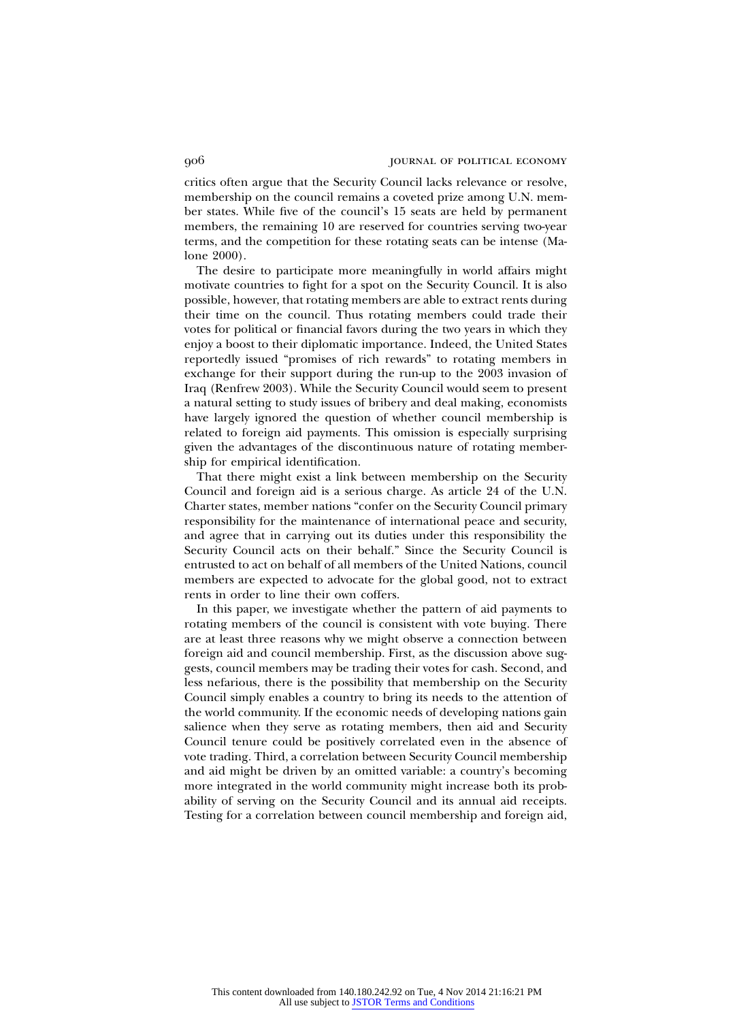critics often argue that the Security Council lacks relevance or resolve, membership on the council remains a coveted prize among U.N. member states. While five of the council's 15 seats are held by permanent members, the remaining 10 are reserved for countries serving two-year terms, and the competition for these rotating seats can be intense (Malone 2000).

The desire to participate more meaningfully in world affairs might motivate countries to fight for a spot on the Security Council. It is also possible, however, that rotating members are able to extract rents during their time on the council. Thus rotating members could trade their votes for political or financial favors during the two years in which they enjoy a boost to their diplomatic importance. Indeed, the United States reportedly issued "promises of rich rewards" to rotating members in exchange for their support during the run-up to the 2003 invasion of Iraq (Renfrew 2003). While the Security Council would seem to present a natural setting to study issues of bribery and deal making, economists have largely ignored the question of whether council membership is related to foreign aid payments. This omission is especially surprising given the advantages of the discontinuous nature of rotating membership for empirical identification.

That there might exist a link between membership on the Security Council and foreign aid is a serious charge. As article 24 of the U.N. Charter states, member nations "confer on the Security Council primary responsibility for the maintenance of international peace and security, and agree that in carrying out its duties under this responsibility the Security Council acts on their behalf." Since the Security Council is entrusted to act on behalf of all members of the United Nations, council members are expected to advocate for the global good, not to extract rents in order to line their own coffers.

In this paper, we investigate whether the pattern of aid payments to rotating members of the council is consistent with vote buying. There are at least three reasons why we might observe a connection between foreign aid and council membership. First, as the discussion above suggests, council members may be trading their votes for cash. Second, and less nefarious, there is the possibility that membership on the Security Council simply enables a country to bring its needs to the attention of the world community. If the economic needs of developing nations gain salience when they serve as rotating members, then aid and Security Council tenure could be positively correlated even in the absence of vote trading. Third, a correlation between Security Council membership and aid might be driven by an omitted variable: a country's becoming more integrated in the world community might increase both its probability of serving on the Security Council and its annual aid receipts. Testing for a correlation between council membership and foreign aid,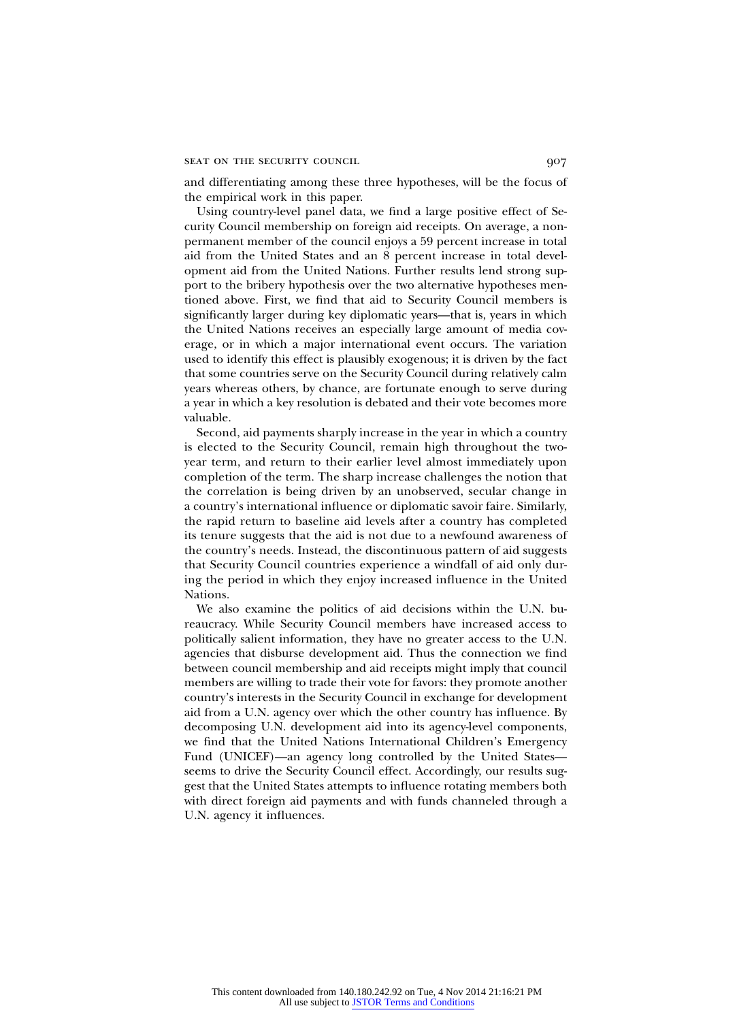### SEAT ON THE SECURITY COUNCIL 907

and differentiating among these three hypotheses, will be the focus of the empirical work in this paper.

Using country-level panel data, we find a large positive effect of Security Council membership on foreign aid receipts. On average, a nonpermanent member of the council enjoys a 59 percent increase in total aid from the United States and an 8 percent increase in total development aid from the United Nations. Further results lend strong support to the bribery hypothesis over the two alternative hypotheses mentioned above. First, we find that aid to Security Council members is significantly larger during key diplomatic years—that is, years in which the United Nations receives an especially large amount of media coverage, or in which a major international event occurs. The variation used to identify this effect is plausibly exogenous; it is driven by the fact that some countries serve on the Security Council during relatively calm years whereas others, by chance, are fortunate enough to serve during a year in which a key resolution is debated and their vote becomes more valuable.

Second, aid payments sharply increase in the year in which a country is elected to the Security Council, remain high throughout the twoyear term, and return to their earlier level almost immediately upon completion of the term. The sharp increase challenges the notion that the correlation is being driven by an unobserved, secular change in a country's international influence or diplomatic savoir faire. Similarly, the rapid return to baseline aid levels after a country has completed its tenure suggests that the aid is not due to a newfound awareness of the country's needs. Instead, the discontinuous pattern of aid suggests that Security Council countries experience a windfall of aid only during the period in which they enjoy increased influence in the United Nations.

We also examine the politics of aid decisions within the U.N. bureaucracy. While Security Council members have increased access to politically salient information, they have no greater access to the U.N. agencies that disburse development aid. Thus the connection we find between council membership and aid receipts might imply that council members are willing to trade their vote for favors: they promote another country's interests in the Security Council in exchange for development aid from a U.N. agency over which the other country has influence. By decomposing U.N. development aid into its agency-level components, we find that the United Nations International Children's Emergency Fund (UNICEF)—an agency long controlled by the United States seems to drive the Security Council effect. Accordingly, our results suggest that the United States attempts to influence rotating members both with direct foreign aid payments and with funds channeled through a U.N. agency it influences.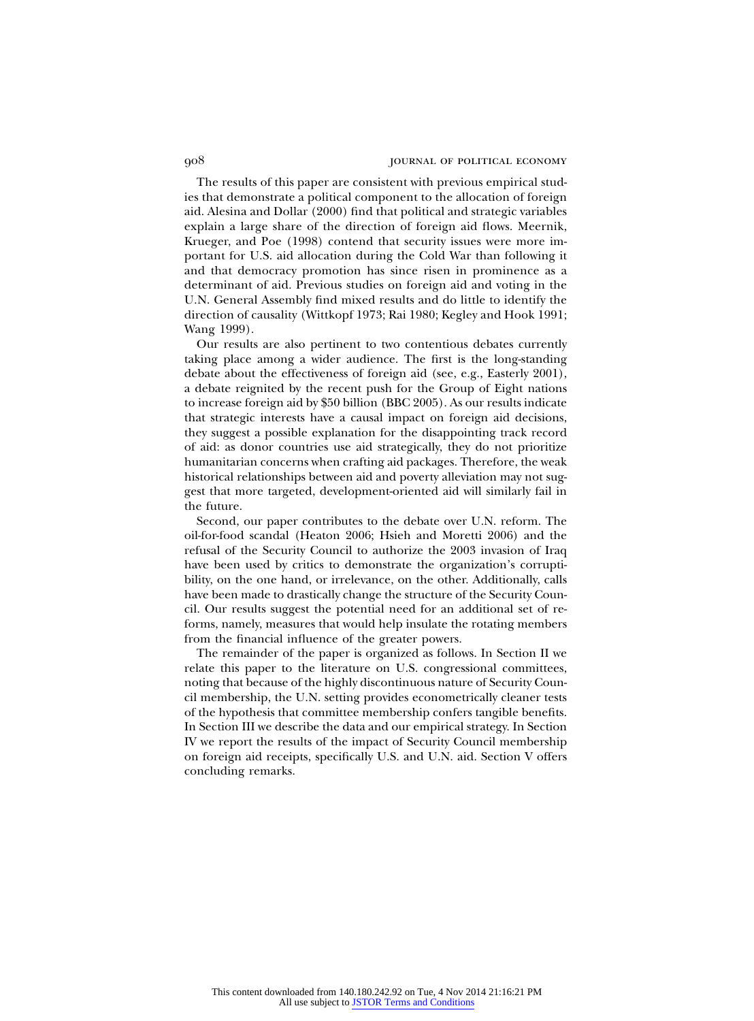The results of this paper are consistent with previous empirical studies that demonstrate a political component to the allocation of foreign aid. Alesina and Dollar (2000) find that political and strategic variables explain a large share of the direction of foreign aid flows. Meernik, Krueger, and Poe (1998) contend that security issues were more important for U.S. aid allocation during the Cold War than following it and that democracy promotion has since risen in prominence as a determinant of aid. Previous studies on foreign aid and voting in the U.N. General Assembly find mixed results and do little to identify the direction of causality (Wittkopf 1973; Rai 1980; Kegley and Hook 1991; Wang 1999).

Our results are also pertinent to two contentious debates currently taking place among a wider audience. The first is the long-standing debate about the effectiveness of foreign aid (see, e.g., Easterly 2001), a debate reignited by the recent push for the Group of Eight nations to increase foreign aid by \$50 billion (BBC 2005). As our results indicate that strategic interests have a causal impact on foreign aid decisions, they suggest a possible explanation for the disappointing track record of aid: as donor countries use aid strategically, they do not prioritize humanitarian concerns when crafting aid packages. Therefore, the weak historical relationships between aid and poverty alleviation may not suggest that more targeted, development-oriented aid will similarly fail in the future.

Second, our paper contributes to the debate over U.N. reform. The oil-for-food scandal (Heaton 2006; Hsieh and Moretti 2006) and the refusal of the Security Council to authorize the 2003 invasion of Iraq have been used by critics to demonstrate the organization's corruptibility, on the one hand, or irrelevance, on the other. Additionally, calls have been made to drastically change the structure of the Security Council. Our results suggest the potential need for an additional set of reforms, namely, measures that would help insulate the rotating members from the financial influence of the greater powers.

The remainder of the paper is organized as follows. In Section II we relate this paper to the literature on U.S. congressional committees, noting that because of the highly discontinuous nature of Security Council membership, the U.N. setting provides econometrically cleaner tests of the hypothesis that committee membership confers tangible benefits. In Section III we describe the data and our empirical strategy. In Section IV we report the results of the impact of Security Council membership on foreign aid receipts, specifically U.S. and U.N. aid. Section V offers concluding remarks.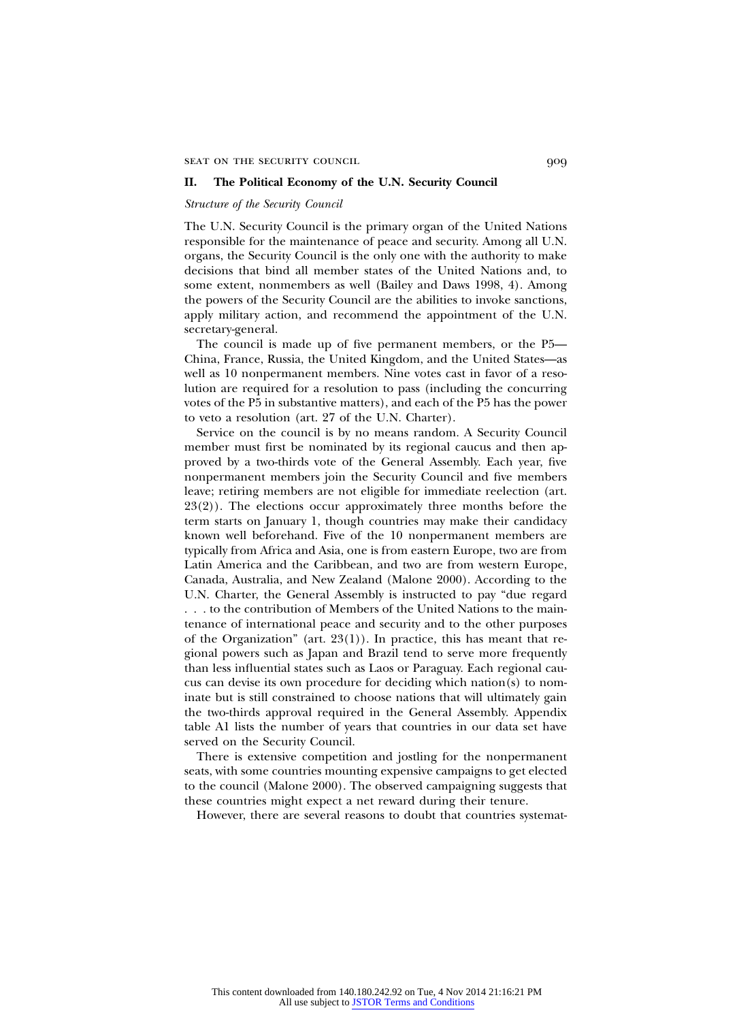SEAT ON THE SECURITY COUNCIL 909

### **II. The Political Economy of the U.N. Security Council**

### *Structure of the Security Council*

The U.N. Security Council is the primary organ of the United Nations responsible for the maintenance of peace and security. Among all U.N. organs, the Security Council is the only one with the authority to make decisions that bind all member states of the United Nations and, to some extent, nonmembers as well (Bailey and Daws 1998, 4). Among the powers of the Security Council are the abilities to invoke sanctions, apply military action, and recommend the appointment of the U.N. secretary-general.

The council is made up of five permanent members, or the P5— China, France, Russia, the United Kingdom, and the United States—as well as 10 nonpermanent members. Nine votes cast in favor of a resolution are required for a resolution to pass (including the concurring votes of the P5 in substantive matters), and each of the P5 has the power to veto a resolution (art. 27 of the U.N. Charter).

Service on the council is by no means random. A Security Council member must first be nominated by its regional caucus and then approved by a two-thirds vote of the General Assembly. Each year, five nonpermanent members join the Security Council and five members leave; retiring members are not eligible for immediate reelection (art.  $23(2)$ ). The elections occur approximately three months before the term starts on January 1, though countries may make their candidacy known well beforehand. Five of the 10 nonpermanent members are typically from Africa and Asia, one is from eastern Europe, two are from Latin America and the Caribbean, and two are from western Europe, Canada, Australia, and New Zealand (Malone 2000). According to the U.N. Charter, the General Assembly is instructed to pay "due regard . . . to the contribution of Members of the United Nations to the maintenance of international peace and security and to the other purposes of the Organization" (art.  $23(1)$ ). In practice, this has meant that regional powers such as Japan and Brazil tend to serve more frequently than less influential states such as Laos or Paraguay. Each regional caucus can devise its own procedure for deciding which nation(s) to nominate but is still constrained to choose nations that will ultimately gain the two-thirds approval required in the General Assembly. Appendix table A1 lists the number of years that countries in our data set have served on the Security Council.

There is extensive competition and jostling for the nonpermanent seats, with some countries mounting expensive campaigns to get elected to the council (Malone 2000). The observed campaigning suggests that these countries might expect a net reward during their tenure.

However, there are several reasons to doubt that countries systemat-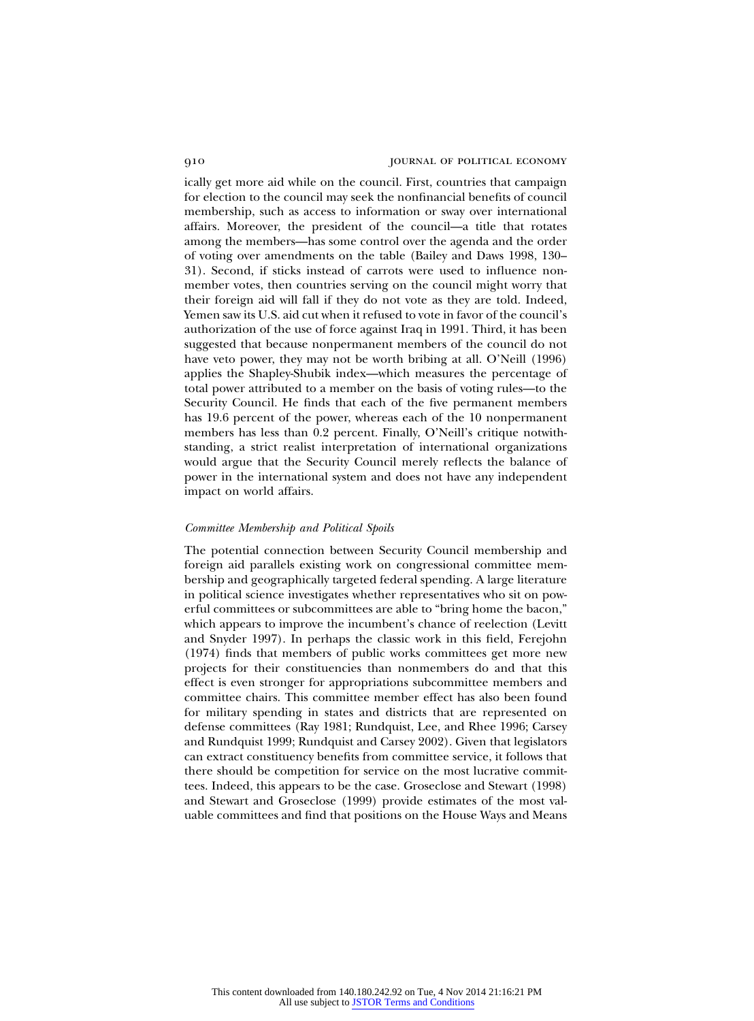ically get more aid while on the council. First, countries that campaign for election to the council may seek the nonfinancial benefits of council membership, such as access to information or sway over international affairs. Moreover, the president of the council—a title that rotates among the members—has some control over the agenda and the order of voting over amendments on the table (Bailey and Daws 1998, 130– 31). Second, if sticks instead of carrots were used to influence nonmember votes, then countries serving on the council might worry that their foreign aid will fall if they do not vote as they are told. Indeed, Yemen saw its U.S. aid cut when it refused to vote in favor of the council's authorization of the use of force against Iraq in 1991. Third, it has been suggested that because nonpermanent members of the council do not have veto power, they may not be worth bribing at all. O'Neill (1996) applies the Shapley-Shubik index—which measures the percentage of total power attributed to a member on the basis of voting rules—to the Security Council. He finds that each of the five permanent members has 19.6 percent of the power, whereas each of the 10 nonpermanent members has less than 0.2 percent. Finally, O'Neill's critique notwithstanding, a strict realist interpretation of international organizations would argue that the Security Council merely reflects the balance of power in the international system and does not have any independent impact on world affairs.

### *Committee Membership and Political Spoils*

The potential connection between Security Council membership and foreign aid parallels existing work on congressional committee membership and geographically targeted federal spending. A large literature in political science investigates whether representatives who sit on powerful committees or subcommittees are able to "bring home the bacon," which appears to improve the incumbent's chance of reelection (Levitt and Snyder 1997). In perhaps the classic work in this field, Ferejohn (1974) finds that members of public works committees get more new projects for their constituencies than nonmembers do and that this effect is even stronger for appropriations subcommittee members and committee chairs. This committee member effect has also been found for military spending in states and districts that are represented on defense committees (Ray 1981; Rundquist, Lee, and Rhee 1996; Carsey and Rundquist 1999; Rundquist and Carsey 2002). Given that legislators can extract constituency benefits from committee service, it follows that there should be competition for service on the most lucrative committees. Indeed, this appears to be the case. Groseclose and Stewart (1998) and Stewart and Groseclose (1999) provide estimates of the most valuable committees and find that positions on the House Ways and Means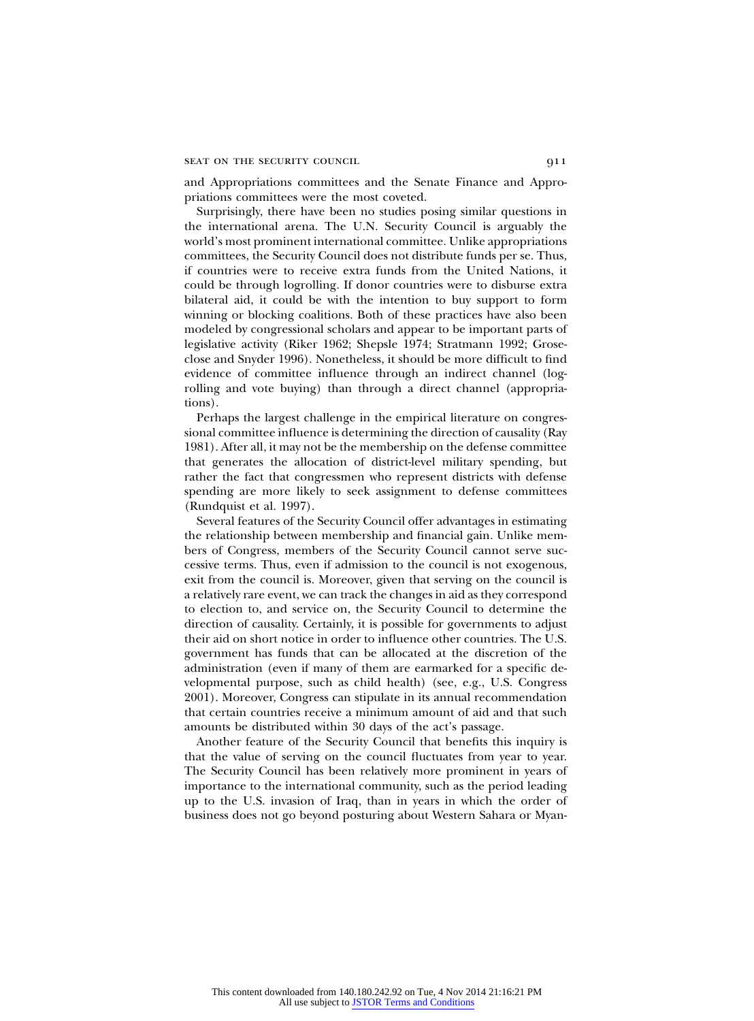### SEAT ON THE SECURITY COUNCIL Q11

and Appropriations committees and the Senate Finance and Appropriations committees were the most coveted.

Surprisingly, there have been no studies posing similar questions in the international arena. The U.N. Security Council is arguably the world's most prominent international committee. Unlike appropriations committees, the Security Council does not distribute funds per se. Thus, if countries were to receive extra funds from the United Nations, it could be through logrolling. If donor countries were to disburse extra bilateral aid, it could be with the intention to buy support to form winning or blocking coalitions. Both of these practices have also been modeled by congressional scholars and appear to be important parts of legislative activity (Riker 1962; Shepsle 1974; Stratmann 1992; Groseclose and Snyder 1996). Nonetheless, it should be more difficult to find evidence of committee influence through an indirect channel (logrolling and vote buying) than through a direct channel (appropriations).

Perhaps the largest challenge in the empirical literature on congressional committee influence is determining the direction of causality (Ray 1981). After all, it may not be the membership on the defense committee that generates the allocation of district-level military spending, but rather the fact that congressmen who represent districts with defense spending are more likely to seek assignment to defense committees (Rundquist et al. 1997).

Several features of the Security Council offer advantages in estimating the relationship between membership and financial gain. Unlike members of Congress, members of the Security Council cannot serve successive terms. Thus, even if admission to the council is not exogenous, exit from the council is. Moreover, given that serving on the council is a relatively rare event, we can track the changes in aid as they correspond to election to, and service on, the Security Council to determine the direction of causality. Certainly, it is possible for governments to adjust their aid on short notice in order to influence other countries. The U.S. government has funds that can be allocated at the discretion of the administration (even if many of them are earmarked for a specific developmental purpose, such as child health) (see, e.g., U.S. Congress 2001). Moreover, Congress can stipulate in its annual recommendation that certain countries receive a minimum amount of aid and that such amounts be distributed within 30 days of the act's passage.

Another feature of the Security Council that benefits this inquiry is that the value of serving on the council fluctuates from year to year. The Security Council has been relatively more prominent in years of importance to the international community, such as the period leading up to the U.S. invasion of Iraq, than in years in which the order of business does not go beyond posturing about Western Sahara or Myan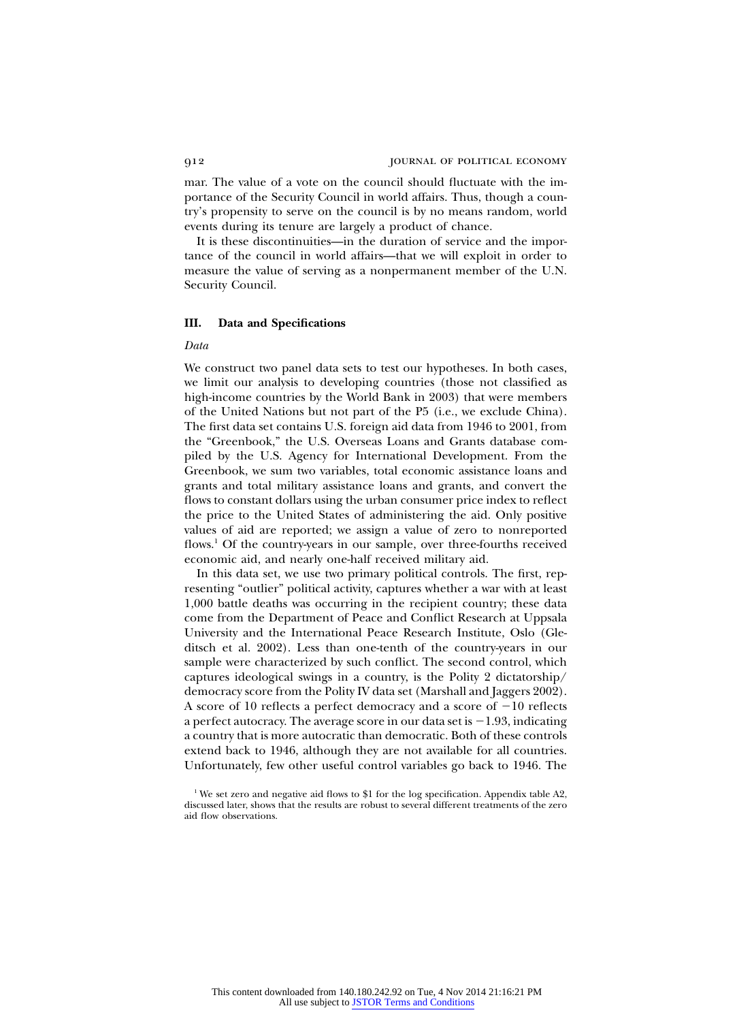mar. The value of a vote on the council should fluctuate with the importance of the Security Council in world affairs. Thus, though a country's propensity to serve on the council is by no means random, world events during its tenure are largely a product of chance.

It is these discontinuities—in the duration of service and the importance of the council in world affairs—that we will exploit in order to measure the value of serving as a nonpermanent member of the U.N. Security Council.

### **III. Data and Specifications**

### *Data*

We construct two panel data sets to test our hypotheses. In both cases, we limit our analysis to developing countries (those not classified as high-income countries by the World Bank in 2003) that were members of the United Nations but not part of the P5 (i.e., we exclude China). The first data set contains U.S. foreign aid data from 1946 to 2001, from the "Greenbook," the U.S. Overseas Loans and Grants database compiled by the U.S. Agency for International Development. From the Greenbook, we sum two variables, total economic assistance loans and grants and total military assistance loans and grants, and convert the flows to constant dollars using the urban consumer price index to reflect the price to the United States of administering the aid. Only positive values of aid are reported; we assign a value of zero to nonreported flows.<sup>1</sup> Of the country-years in our sample, over three-fourths received economic aid, and nearly one-half received military aid.

In this data set, we use two primary political controls. The first, representing "outlier" political activity, captures whether a war with at least 1,000 battle deaths was occurring in the recipient country; these data come from the Department of Peace and Conflict Research at Uppsala University and the International Peace Research Institute, Oslo (Gleditsch et al. 2002). Less than one-tenth of the country-years in our sample were characterized by such conflict. The second control, which captures ideological swings in a country, is the Polity 2 dictatorship/ democracy score from the Polity IV data set (Marshall and Jaggers 2002). A score of 10 reflects a perfect democracy and a score of  $-10$  reflects a perfect autocracy. The average score in our data set is  $-1.93$ , indicating a country that is more autocratic than democratic. Both of these controls extend back to 1946, although they are not available for all countries. Unfortunately, few other useful control variables go back to 1946. The

<sup>&</sup>lt;sup>1</sup> We set zero and negative aid flows to \$1 for the log specification. Appendix table A2, discussed later, shows that the results are robust to several different treatments of the zero aid flow observations.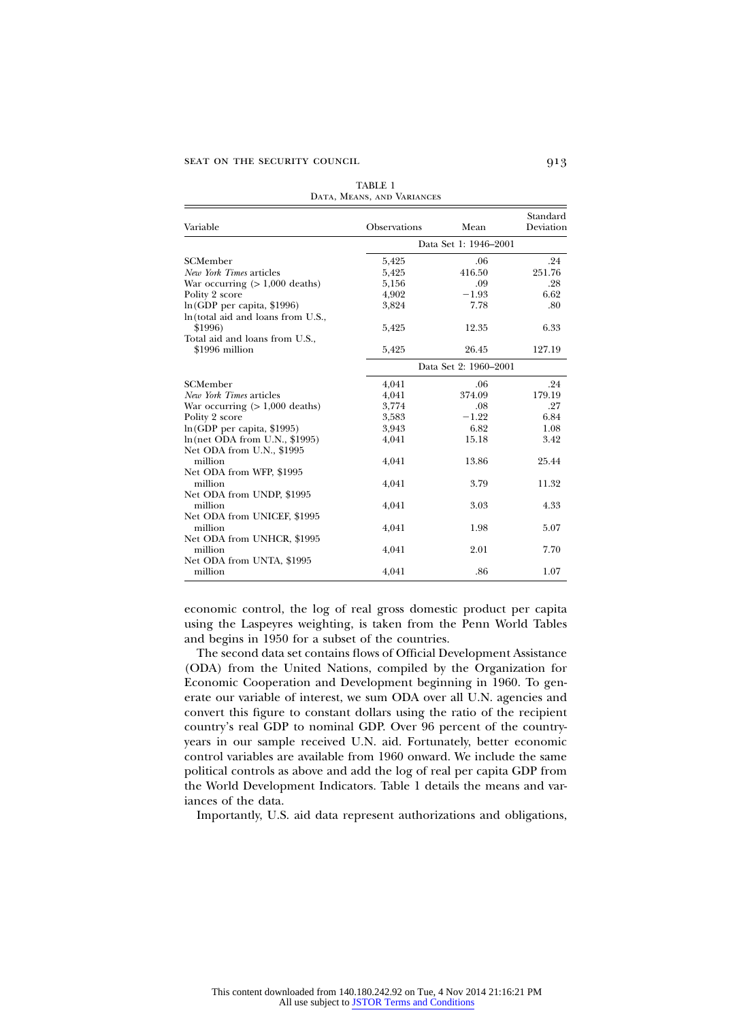Net ODA from U.N., \$1995<br>million

Net ODA from WFP, \$1995

Net ODA from UNDP, \$1995

Net ODA from UNICEF, \$1995

Net ODA from UNHCR, \$1995

Net ODA from UNTA, \$1995

| DATA, MEANS, AND VARIANCES                                                      |                     |                       |                       |  |  |  |
|---------------------------------------------------------------------------------|---------------------|-----------------------|-----------------------|--|--|--|
| Variable                                                                        | <b>Observations</b> | Mean                  | Standard<br>Deviation |  |  |  |
|                                                                                 |                     | Data Set 1: 1946–2001 |                       |  |  |  |
| SCMember                                                                        | 5,425               | .06                   | .24                   |  |  |  |
| New York Times articles                                                         | 5,425               | 416.50                | 251.76                |  |  |  |
| War occurring $(>1,000 \text{ deaths})$                                         | 5,156               | .09                   | .28                   |  |  |  |
| Polity 2 score                                                                  | 4,902               | $-1.93$               | 6.62                  |  |  |  |
| $ln(GDP$ per capita, \$1996)                                                    | 3,824               | 7.78                  | .80                   |  |  |  |
| ln (total aid and loans from U.S.,<br>\$1996)<br>Total aid and loans from U.S., | 5,425               | 12.35                 | 6.33                  |  |  |  |
| \$1996 million                                                                  | 5,425               | 26.45                 | 127.19                |  |  |  |
|                                                                                 |                     | Data Set 2: 1960–2001 |                       |  |  |  |
| SCMember                                                                        | 4,041               | .06                   | .24                   |  |  |  |
| New York Times articles                                                         | 4,041               | 374.09                | 179.19                |  |  |  |
| War occurring $(>1,000 \text{ deaths})$                                         | 3,774               | .08                   | .27                   |  |  |  |
| Polity 2 score                                                                  | 3,583               | $-1.22$               | 6.84                  |  |  |  |
| $ln(GDP$ per capita, \$1995)                                                    | 3,943               | 6.82                  | 1.08                  |  |  |  |
| ln(net ODA from U.N., \$1995)                                                   | 4,041               | 15.18                 | 3.42                  |  |  |  |

million 13.86 25.44

million 1.32

million 4,041 3.03 4.33

million 6.07 and 4,041 1.98 5.07

million 1,041 2.01 7.70

million 1.07 **1.07** 1.07 **1.07** 1.07

|  | TABLE 1 |                           |
|--|---------|---------------------------|
|  |         | DATA, MEANS, AND VARIANCE |

economic control, the log of real gross domestic product per capita using the Laspeyres weighting, is taken from the Penn World Tables and begins in 1950 for a subset of the countries.

The second data set contains flows of Official Development Assistance (ODA) from the United Nations, compiled by the Organization for Economic Cooperation and Development beginning in 1960. To generate our variable of interest, we sum ODA over all U.N. agencies and convert this figure to constant dollars using the ratio of the recipient country's real GDP to nominal GDP. Over 96 percent of the countryyears in our sample received U.N. aid. Fortunately, better economic control variables are available from 1960 onward. We include the same political controls as above and add the log of real per capita GDP from the World Development Indicators. Table 1 details the means and variances of the data.

Importantly, U.S. aid data represent authorizations and obligations,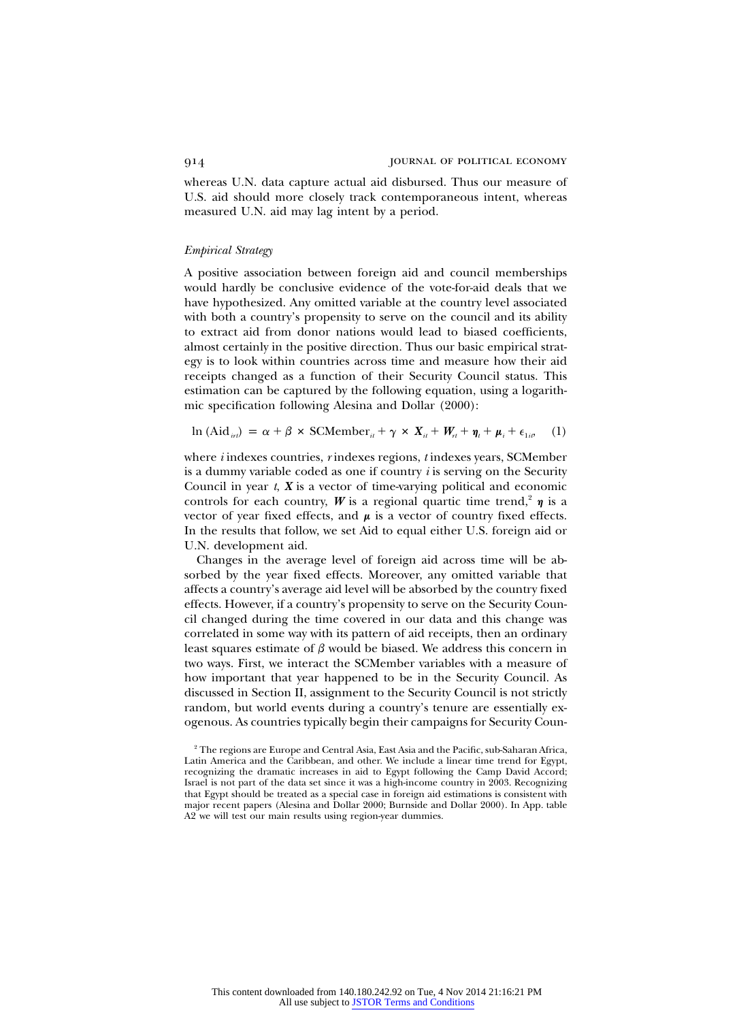whereas U.N. data capture actual aid disbursed. Thus our measure of U.S. aid should more closely track contemporaneous intent, whereas measured U.N. aid may lag intent by a period.

### *Empirical Strategy*

A positive association between foreign aid and council memberships would hardly be conclusive evidence of the vote-for-aid deals that we have hypothesized. Any omitted variable at the country level associated with both a country's propensity to serve on the council and its ability to extract aid from donor nations would lead to biased coefficients, almost certainly in the positive direction. Thus our basic empirical strategy is to look within countries across time and measure how their aid receipts changed as a function of their Security Council status. This estimation can be captured by the following equation, using a logarithmic specification following Alesina and Dollar (2000):

$$
\ln (\text{Aid}_{i\tau}) = \alpha + \beta \times \text{SCMember}_{i\tau} + \gamma \times X_{i\tau} + W_{\tau\tau} + \eta_{\tau} + \mu_{i} + \epsilon_{1i\sigma} \quad (1)
$$

where *i* indexes countries, *r* indexes regions, *t* indexes years, SCMember is a dummy variable coded as one if country *i* is serving on the Security Council in year *t*, *X* is a vector of time-varying political and economic controls for each country, *W* is a regional quartic time trend,<sup>2</sup>  $\eta$  is a vector of year fixed effects, and  $\mu$  is a vector of country fixed effects. In the results that follow, we set Aid to equal either U.S. foreign aid or U.N. development aid.

Changes in the average level of foreign aid across time will be absorbed by the year fixed effects. Moreover, any omitted variable that affects a country's average aid level will be absorbed by the country fixed effects. However, if a country's propensity to serve on the Security Council changed during the time covered in our data and this change was correlated in some way with its pattern of aid receipts, then an ordinary least squares estimate of  $\beta$  would be biased. We address this concern in two ways. First, we interact the SCMember variables with a measure of how important that year happened to be in the Security Council. As discussed in Section II, assignment to the Security Council is not strictly random, but world events during a country's tenure are essentially exogenous. As countries typically begin their campaigns for Security Coun-

<sup>&</sup>lt;sup>2</sup> The regions are Europe and Central Asia, East Asia and the Pacific, sub-Saharan Africa, Latin America and the Caribbean, and other. We include a linear time trend for Egypt, recognizing the dramatic increases in aid to Egypt following the Camp David Accord; Israel is not part of the data set since it was a high-income country in 2003. Recognizing that Egypt should be treated as a special case in foreign aid estimations is consistent with major recent papers (Alesina and Dollar 2000; Burnside and Dollar 2000). In App. table A2 we will test our main results using region-year dummies.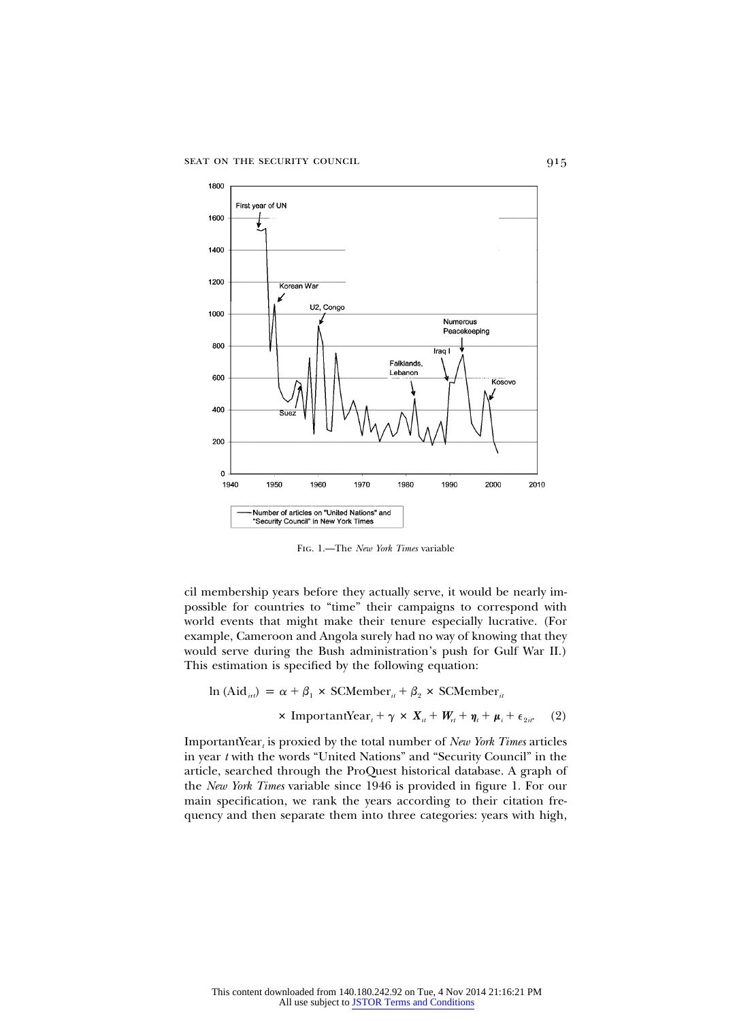

Fig. 1.—The *New York Times* variable

cil membership years before they actually serve, it would be nearly impossible for countries to "time" their campaigns to correspond with world events that might make their tenure especially lucrative. (For example, Cameroon and Angola surely had no way of knowing that they would serve during the Bush administration's push for Gulf War II.) This estimation is specified by the following equation:

$$
\ln (\text{Aid}_{it}) = \alpha + \beta_1 \times \text{SCMember}_{it} + \beta_2 \times \text{SCMember}_{it}
$$

$$
\times \text{ImportantYear}_{t} + \gamma \times X_{it} + W_{it} + \eta_t + \mu_i + \epsilon_{2it}.
$$
 (2)

ImportantYear*<sup>t</sup>* is proxied by the total number of *New York Times* articles in year *t* with the words "United Nations" and "Security Council" in the article, searched through the ProQuest historical database. A graph of the *New York Times* variable since 1946 is provided in figure 1. For our main specification, we rank the years according to their citation frequency and then separate them into three categories: years with high,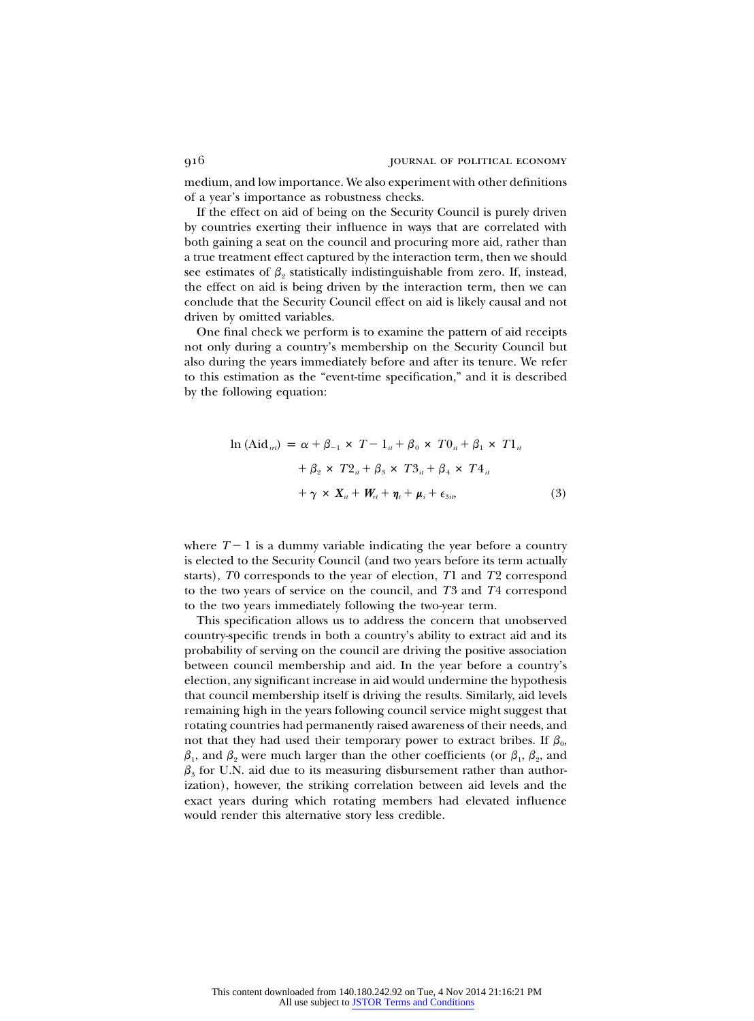medium, and low importance. We also experiment with other definitions of a year's importance as robustness checks.

If the effect on aid of being on the Security Council is purely driven by countries exerting their influence in ways that are correlated with both gaining a seat on the council and procuring more aid, rather than a true treatment effect captured by the interaction term, then we should see estimates of  $\beta_2$  statistically indistinguishable from zero. If, instead, the effect on aid is being driven by the interaction term, then we can conclude that the Security Council effect on aid is likely causal and not driven by omitted variables.

One final check we perform is to examine the pattern of aid receipts not only during a country's membership on the Security Council but also during the years immediately before and after its tenure. We refer to this estimation as the "event-time specification," and it is described by the following equation:

$$
\ln (\text{Aid}_{irl}) = \alpha + \beta_{-1} \times T - 1_{it} + \beta_0 \times T0_{it} + \beta_1 \times T1_{it}
$$
  
+  $\beta_2 \times T2_{it} + \beta_3 \times T3_{it} + \beta_4 \times T4_{it}$   
+  $\gamma \times \mathbf{X}_{it} + \mathbf{W}_{rt} + \mathbf{\eta}_t + \mathbf{\mu}_i + \epsilon_{3it}$  (3)

where  $T-1$  is a dummy variable indicating the year before a country is elected to the Security Council (and two years before its term actually starts), *T*0 corresponds to the year of election, *T*1 and *T*2 correspond to the two years of service on the council, and *T*3 and *T*4 correspond to the two years immediately following the two-year term.

This specification allows us to address the concern that unobserved country-specific trends in both a country's ability to extract aid and its probability of serving on the council are driving the positive association between council membership and aid. In the year before a country's election, any significant increase in aid would undermine the hypothesis that council membership itself is driving the results. Similarly, aid levels remaining high in the years following council service might suggest that rotating countries had permanently raised awareness of their needs, and not that they had used their temporary power to extract bribes. If  $\beta_0$ ,  $\beta_1$ , and  $\beta_2$  were much larger than the other coefficients (or  $\beta_1$ ,  $\beta_2$ , and  $\beta_3$  for U.N. aid due to its measuring disbursement rather than authorization), however, the striking correlation between aid levels and the exact years during which rotating members had elevated influence would render this alternative story less credible.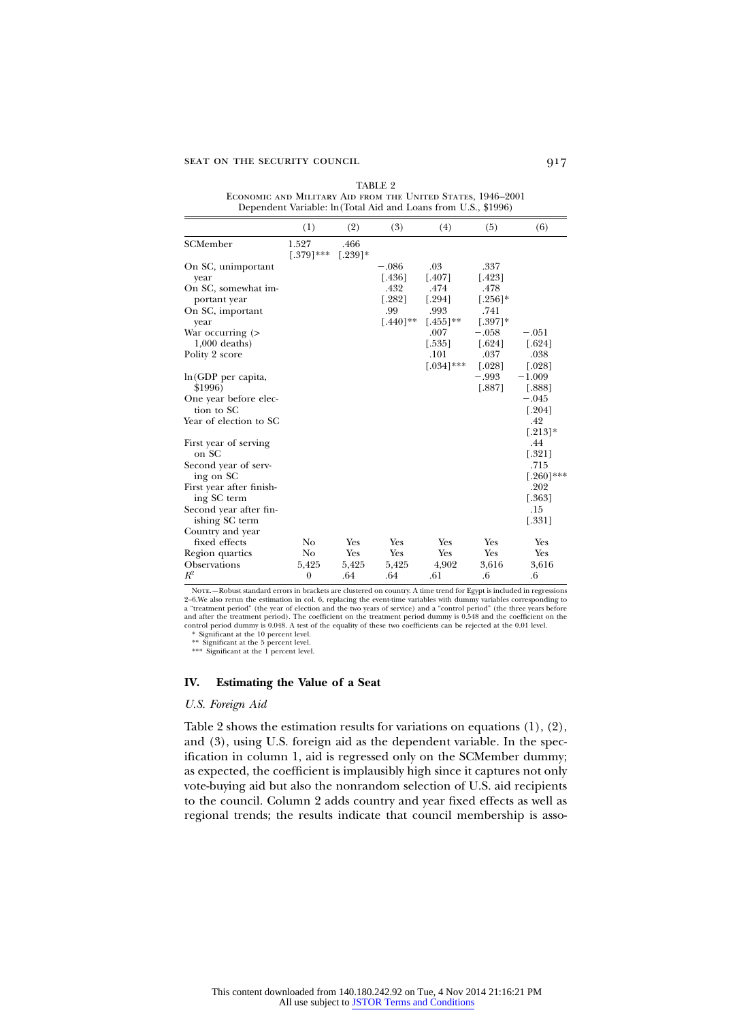| TABLE 2                                                        |  |  |  |  |  |  |
|----------------------------------------------------------------|--|--|--|--|--|--|
| ECONOMIC AND MILITARY AID FROM THE UNITED STATES, 1946–2001    |  |  |  |  |  |  |
| Dependent Variable: ln (Total Aid and Loans from U.S., \$1996) |  |  |  |  |  |  |

|                                          | (1)                       | (2)                | (3)                 | (4)                  | (5)                 | (6)                  |
|------------------------------------------|---------------------------|--------------------|---------------------|----------------------|---------------------|----------------------|
| SCMember                                 | 1.527<br>$[.379]$ ***     | .466<br>$[.239]$ * |                     |                      |                     |                      |
| On SC, unimportant<br>year               |                           |                    | $-.086$<br>$[.436]$ | .03<br>$[.407]$      | .337<br>[.423]      |                      |
| On SC, somewhat im-<br>portant year      |                           |                    | .432<br>[.282]      | .474<br>[.294]       | .478<br>$[.256]$ *  |                      |
| On SC, important<br>year                 |                           |                    | .99<br>$[.440]$ **  | .993<br>$[.455]$ **  | .741<br>$[.397]$ *  |                      |
| War occurring $($<br>$1,000$ deaths)     |                           |                    |                     | .007<br>[.535]       | $-.058$<br>$[.624]$ | $-.051$<br>$[.624]$  |
| Polity 2 score                           |                           |                    |                     | .101<br>$[.034]$ *** | .037<br>$[.028]$    | .038<br>$[.028]$     |
| ln (GDP per capita,<br>\$1996)           |                           |                    |                     |                      | $-.993$<br>[.887]   | $-1.009$<br>$[.888]$ |
| One year before elec-<br>tion to SC      |                           |                    |                     |                      |                     | $-.045$<br>$[.204]$  |
| Year of election to SC                   |                           |                    |                     |                      |                     | .42<br>$[.213]*$     |
| First year of serving<br>on SC           |                           |                    |                     |                      |                     | .44<br>$[.321]$      |
| Second year of serv-<br>ing on SC        |                           |                    |                     |                      |                     | .715<br>$[.260]$ *** |
| First year after finish-<br>ing SC term  |                           |                    |                     |                      |                     | .202<br>[.363]       |
| Second year after fin-<br>ishing SC term |                           |                    |                     |                      |                     | .15<br>[.331]        |
| Country and year<br>fixed effects        | No                        | Yes                | Yes                 | Yes                  | Yes                 | Yes                  |
| Region quartics                          | No                        | Yes                | Yes                 | Yes                  | Yes                 | Yes                  |
| Observations<br>$R^2$                    | 5,425<br>$\boldsymbol{0}$ | 5,425<br>.64       | 5,425<br>.64        | 4,902<br>.61         | 3,616<br>.6         | 3,616<br>.6          |

Norr.—Robust standard errors in brackets are clustered on country. A time trend for Egypt is included in regressions<br>2–6.We also rerun the estimation in col. 6, replacing the event-time variables with dummy variables corre a "treatment period" (the year of election and the two years of service) and a "control period" (the three years before and after the treatment period). The coefficient on the treatment period dummy is 0.548 and the coeffi

\*\* Significant at the 5 percent level. \*\*\* Significant at the 1 percent level.

### **IV. Estimating the Value of a Seat**

### *U.S. Foreign Aid*

Table 2 shows the estimation results for variations on equations (1), (2), and (3), using U.S. foreign aid as the dependent variable. In the specification in column 1, aid is regressed only on the SCMember dummy; as expected, the coefficient is implausibly high since it captures not only vote-buying aid but also the nonrandom selection of U.S. aid recipients to the council. Column 2 adds country and year fixed effects as well as regional trends; the results indicate that council membership is asso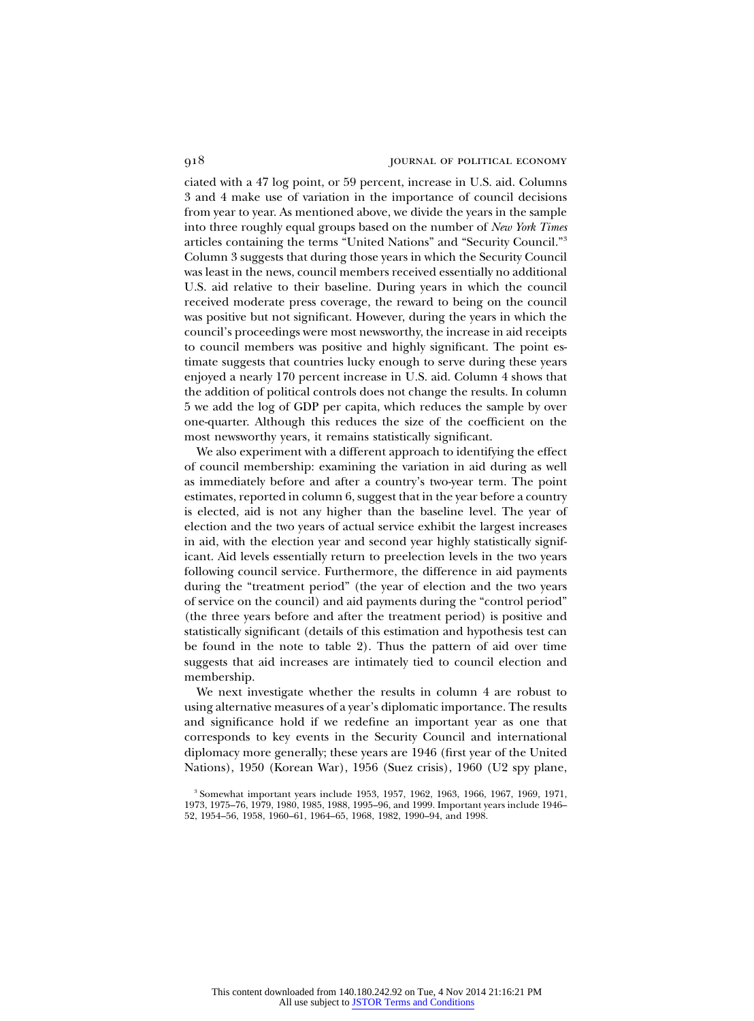ciated with a 47 log point, or 59 percent, increase in U.S. aid. Columns 3 and 4 make use of variation in the importance of council decisions from year to year. As mentioned above, we divide the years in the sample into three roughly equal groups based on the number of *New York Times* articles containing the terms "United Nations" and "Security Council."<sup>3</sup> Column 3 suggests that during those years in which the Security Council was least in the news, council members received essentially no additional U.S. aid relative to their baseline. During years in which the council received moderate press coverage, the reward to being on the council was positive but not significant. However, during the years in which the council's proceedings were most newsworthy, the increase in aid receipts to council members was positive and highly significant. The point estimate suggests that countries lucky enough to serve during these years enjoyed a nearly 170 percent increase in U.S. aid. Column 4 shows that the addition of political controls does not change the results. In column 5 we add the log of GDP per capita, which reduces the sample by over one-quarter. Although this reduces the size of the coefficient on the most newsworthy years, it remains statistically significant.

We also experiment with a different approach to identifying the effect of council membership: examining the variation in aid during as well as immediately before and after a country's two-year term. The point estimates, reported in column 6, suggest that in the year before a country is elected, aid is not any higher than the baseline level. The year of election and the two years of actual service exhibit the largest increases in aid, with the election year and second year highly statistically significant. Aid levels essentially return to preelection levels in the two years following council service. Furthermore, the difference in aid payments during the "treatment period" (the year of election and the two years of service on the council) and aid payments during the "control period" (the three years before and after the treatment period) is positive and statistically significant (details of this estimation and hypothesis test can be found in the note to table 2). Thus the pattern of aid over time suggests that aid increases are intimately tied to council election and membership.

We next investigate whether the results in column 4 are robust to using alternative measures of a year's diplomatic importance. The results and significance hold if we redefine an important year as one that corresponds to key events in the Security Council and international diplomacy more generally; these years are 1946 (first year of the United Nations), 1950 (Korean War), 1956 (Suez crisis), 1960 (U2 spy plane,

<sup>3</sup> Somewhat important years include 1953, 1957, 1962, 1963, 1966, 1967, 1969, 1971, 1973, 1975–76, 1979, 1980, 1985, 1988, 1995–96, and 1999. Important years include 1946– 52, 1954–56, 1958, 1960–61, 1964–65, 1968, 1982, 1990–94, and 1998.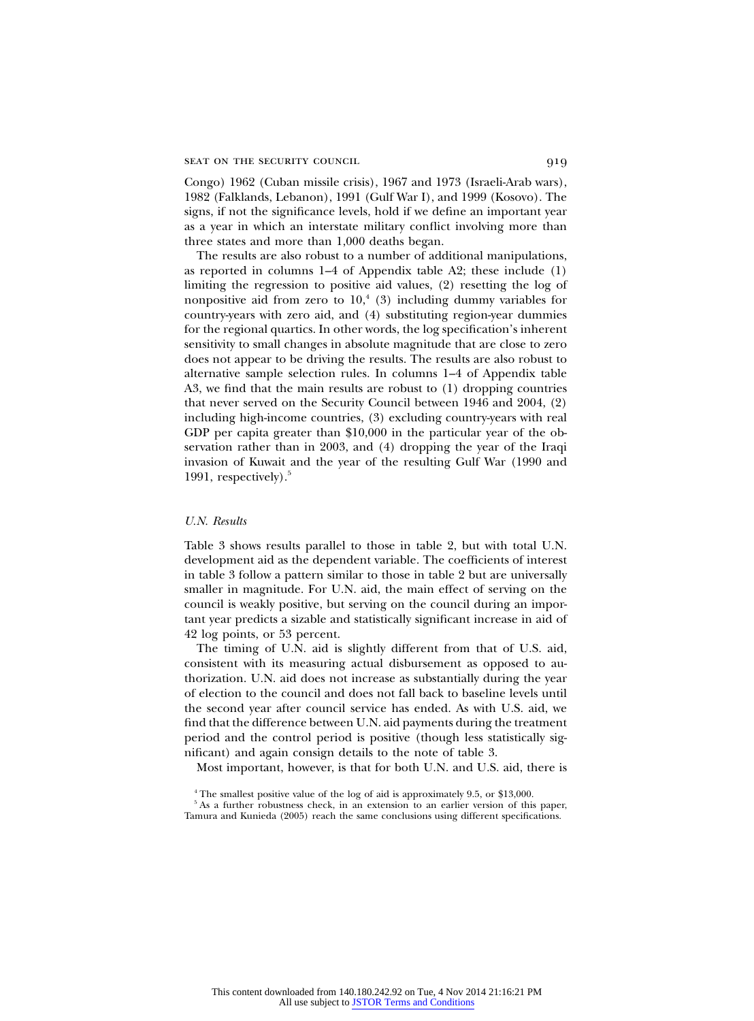### SEAT ON THE SECURITY COUNCIL 919

Congo) 1962 (Cuban missile crisis), 1967 and 1973 (Israeli-Arab wars), 1982 (Falklands, Lebanon), 1991 (Gulf War I), and 1999 (Kosovo). The signs, if not the significance levels, hold if we define an important year as a year in which an interstate military conflict involving more than three states and more than 1,000 deaths began.

The results are also robust to a number of additional manipulations, as reported in columns 1–4 of Appendix table A2; these include (1) limiting the regression to positive aid values, (2) resetting the log of nonpositive aid from zero to  $10<sup>4</sup>$  (3) including dummy variables for country-years with zero aid, and (4) substituting region-year dummies for the regional quartics. In other words, the log specification's inherent sensitivity to small changes in absolute magnitude that are close to zero does not appear to be driving the results. The results are also robust to alternative sample selection rules. In columns 1–4 of Appendix table A3, we find that the main results are robust to (1) dropping countries that never served on the Security Council between 1946 and 2004, (2) including high-income countries, (3) excluding country-years with real GDP per capita greater than \$10,000 in the particular year of the observation rather than in 2003, and (4) dropping the year of the Iraqi invasion of Kuwait and the year of the resulting Gulf War (1990 and 1991, respectively).<sup>5</sup>

### *U.N. Results*

Table 3 shows results parallel to those in table 2, but with total U.N. development aid as the dependent variable. The coefficients of interest in table 3 follow a pattern similar to those in table 2 but are universally smaller in magnitude. For U.N. aid, the main effect of serving on the council is weakly positive, but serving on the council during an important year predicts a sizable and statistically significant increase in aid of 42 log points, or 53 percent.

The timing of U.N. aid is slightly different from that of U.S. aid, consistent with its measuring actual disbursement as opposed to authorization. U.N. aid does not increase as substantially during the year of election to the council and does not fall back to baseline levels until the second year after council service has ended. As with U.S. aid, we find that the difference between U.N. aid payments during the treatment period and the control period is positive (though less statistically significant) and again consign details to the note of table 3.

Most important, however, is that for both U.N. and U.S. aid, there is

<sup>4</sup> The smallest positive value of the log of aid is approximately 9.5, or \$13,000.

<sup>&</sup>lt;sup>5</sup> As a further robustness check, in an extension to an earlier version of this paper, Tamura and Kunieda (2005) reach the same conclusions using different specifications.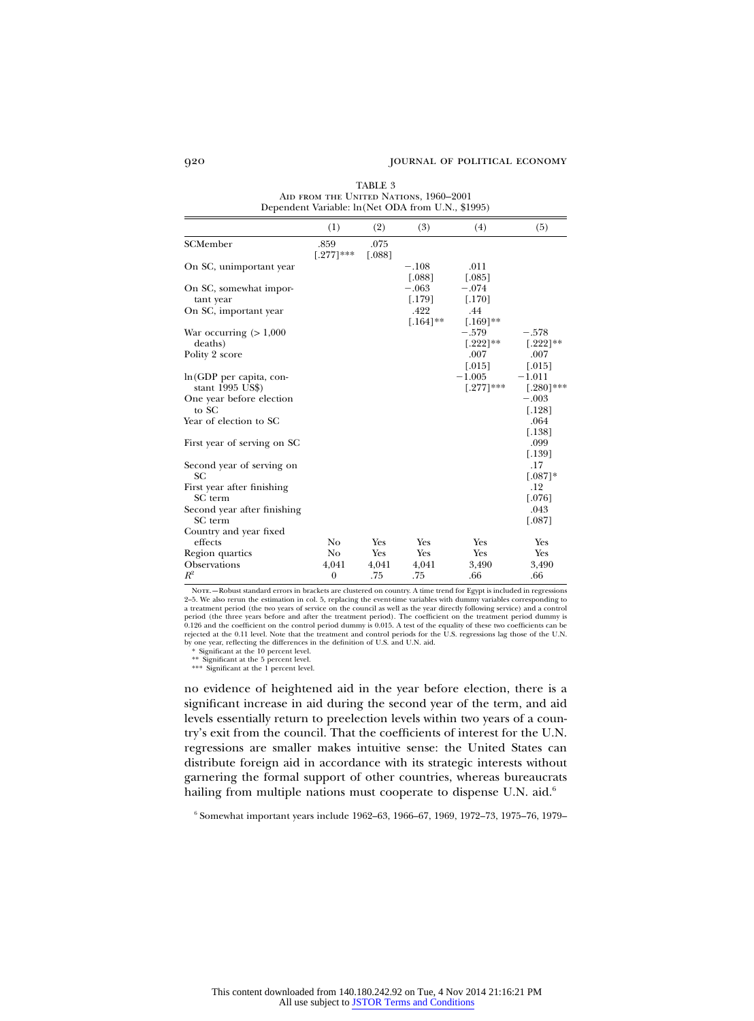| TABLE 3                                           |  |  |  |  |  |  |
|---------------------------------------------------|--|--|--|--|--|--|
| AID FROM THE UNITED NATIONS, 1960-2001            |  |  |  |  |  |  |
| Dependent Variable: ln(Net ODA from U.N., \$1995) |  |  |  |  |  |  |

|                                              | (1)                 | (2)            | (3)                  | (4)                          | (5)                          |
|----------------------------------------------|---------------------|----------------|----------------------|------------------------------|------------------------------|
| SCMember                                     | .859<br>$[.277]***$ | .075<br>[.088] |                      |                              |                              |
| On SC, unimportant year                      |                     |                | $-.108$<br>$0.088$ ] | .011<br>$\lceil .085 \rceil$ |                              |
| On SC, somewhat impor-<br>tant year          |                     |                | $-.063$<br>$[.179]$  | $-.074$<br>[.170]            |                              |
| On SC, important year                        |                     |                | .422<br>$[.164]$ **  | .44<br>$[.169]$ **           |                              |
| War occurring $(>1,000$<br>deaths)           |                     |                |                      | $-.579$<br>$[.222]$ **       | $-.578$<br>$[.222]$ **       |
| Polity 2 score                               |                     |                |                      | .007<br>$\left[ .015\right]$ | .007<br>$\lceil .015 \rceil$ |
| ln (GDP per capita, con-<br>stant 1995 US\$) |                     |                |                      | $-1.005$<br>$[.277]***$      | $-1.011$<br>$[.280]$ ***     |
| One year before election<br>to SC            |                     |                |                      |                              | $-.003$<br>[.128]            |
| Year of election to SC                       |                     |                |                      |                              | .064<br>[.138]               |
| First year of serving on SC                  |                     |                |                      |                              | .099<br>[.139]               |
| Second year of serving on<br><b>SC</b>       |                     |                |                      |                              | .17<br>$[.087]$ *            |
| First year after finishing<br>SC term        |                     |                |                      |                              | .12<br>0.076                 |
| Second year after finishing<br>SC term       |                     |                |                      |                              | .043<br>$[.087]$             |
| Country and year fixed<br>effects            | No                  | Yes            | Yes                  | Yes                          | Yes                          |
| Region quartics                              | No                  | Yes            | Yes                  | Yes                          | Yes                          |
| Observations                                 | 4,041               | 4,041          | 4,041                | 3,490                        | 3,490                        |
| $R^2$                                        | $\mathbf{0}$        | .75            | .75                  | .66                          | .66                          |

Nore.—Robust standard errors in brackets are clustered on country. A time trend for Egypt is included in regressions<br>2–5. We also rerun the estimation in col. 5, replacing the event-time variables with dummy variables corr a treatment period (the two years of service on the council as well as the year directly following service) and a control<br>period (the three years before and after the treatment period). The coefficient on the treatment per by one year, reflecting the differences in the definition of U.S. and U.N. aid.

Significant at the 10 percent level.

\*\* Significant at the 5 percent level.

\*\*\* Significant at the 1 percent level.

no evidence of heightened aid in the year before election, there is a significant increase in aid during the second year of the term, and aid levels essentially return to preelection levels within two years of a country's exit from the council. That the coefficients of interest for the U.N. regressions are smaller makes intuitive sense: the United States can distribute foreign aid in accordance with its strategic interests without garnering the formal support of other countries, whereas bureaucrats hailing from multiple nations must cooperate to dispense U.N. aid.<sup>6</sup>

<sup>6</sup> Somewhat important years include 1962–63, 1966–67, 1969, 1972–73, 1975–76, 1979–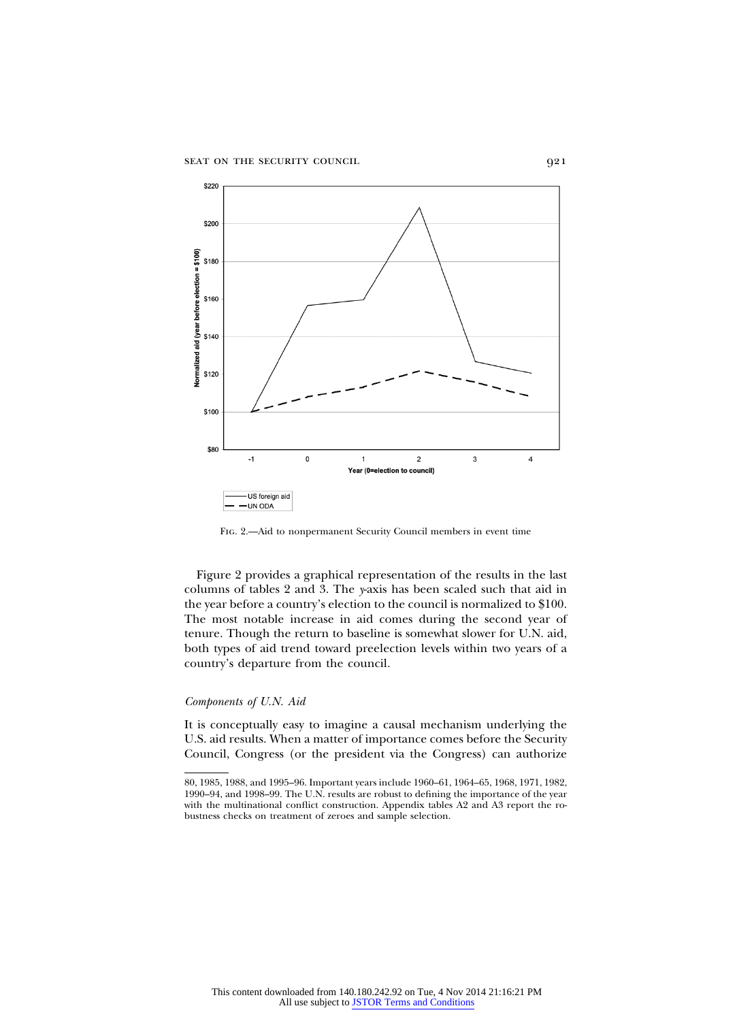

Fig. 2.—Aid to nonpermanent Security Council members in event time

Figure 2 provides a graphical representation of the results in the last columns of tables 2 and 3. The *y*-axis has been scaled such that aid in the year before a country's election to the council is normalized to \$100. The most notable increase in aid comes during the second year of tenure. Though the return to baseline is somewhat slower for U.N. aid, both types of aid trend toward preelection levels within two years of a country's departure from the council.

### *Components of U.N. Aid*

It is conceptually easy to imagine a causal mechanism underlying the U.S. aid results. When a matter of importance comes before the Security Council, Congress (or the president via the Congress) can authorize

<sup>80, 1985, 1988,</sup> and 1995–96. Important years include 1960–61, 1964–65, 1968, 1971, 1982, 1990–94, and 1998–99. The U.N. results are robust to defining the importance of the year with the multinational conflict construction. Appendix tables A2 and A3 report the robustness checks on treatment of zeroes and sample selection.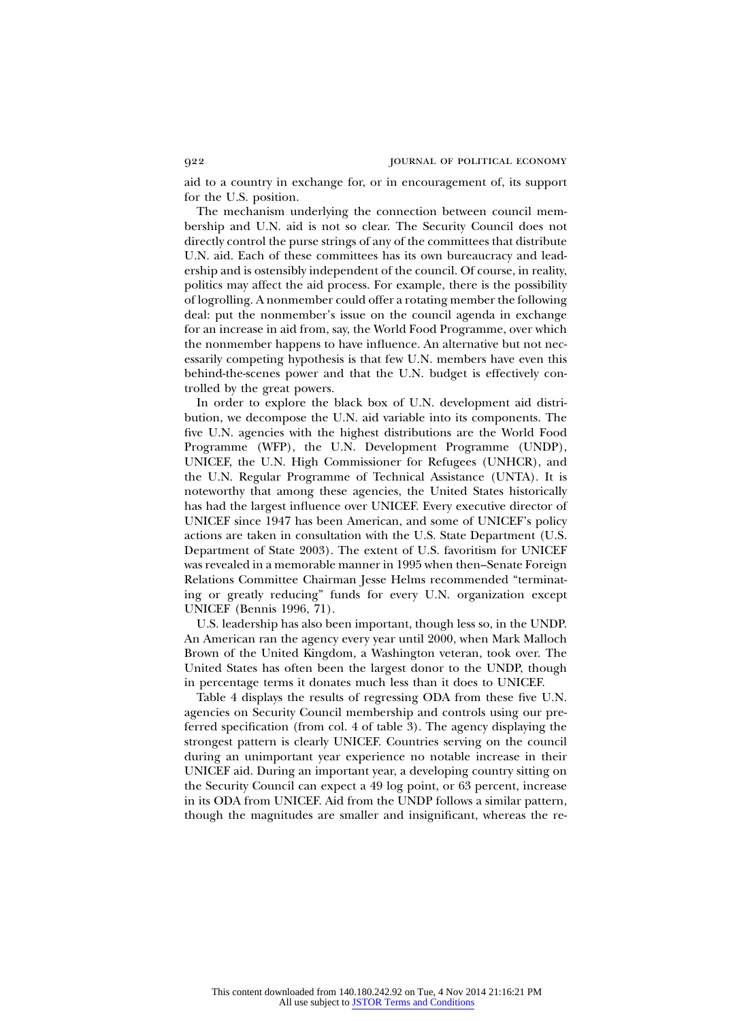aid to a country in exchange for, or in encouragement of, its support for the U.S. position.

The mechanism underlying the connection between council membership and U.N. aid is not so clear. The Security Council does not directly control the purse strings of any of the committees that distribute U.N. aid. Each of these committees has its own bureaucracy and leadership and is ostensibly independent of the council. Of course, in reality, politics may affect the aid process. For example, there is the possibility of logrolling. A nonmember could offer a rotating member the following deal: put the nonmember's issue on the council agenda in exchange for an increase in aid from, say, the World Food Programme, over which the nonmember happens to have influence. An alternative but not necessarily competing hypothesis is that few U.N. members have even this behind-the-scenes power and that the U.N. budget is effectively controlled by the great powers.

In order to explore the black box of U.N. development aid distribution, we decompose the U.N. aid variable into its components. The five U.N. agencies with the highest distributions are the World Food Programme (WFP), the U.N. Development Programme (UNDP), UNICEF, the U.N. High Commissioner for Refugees (UNHCR), and the U.N. Regular Programme of Technical Assistance (UNTA). It is noteworthy that among these agencies, the United States historically has had the largest influence over UNICEF. Every executive director of UNICEF since 1947 has been American, and some of UNICEF's policy actions are taken in consultation with the U.S. State Department (U.S. Department of State 2003). The extent of U.S. favoritism for UNICEF was revealed in a memorable manner in 1995 when then–Senate Foreign Relations Committee Chairman Jesse Helms recommended "terminating or greatly reducing" funds for every U.N. organization except UNICEF (Bennis 1996, 71).

U.S. leadership has also been important, though less so, in the UNDP. An American ran the agency every year until 2000, when Mark Malloch Brown of the United Kingdom, a Washington veteran, took over. The United States has often been the largest donor to the UNDP, though in percentage terms it donates much less than it does to UNICEF.

Table 4 displays the results of regressing ODA from these five U.N. agencies on Security Council membership and controls using our preferred specification (from col. 4 of table 3). The agency displaying the strongest pattern is clearly UNICEF. Countries serving on the council during an unimportant year experience no notable increase in their UNICEF aid. During an important year, a developing country sitting on the Security Council can expect a 49 log point, or 63 percent, increase in its ODA from UNICEF. Aid from the UNDP follows a similar pattern, though the magnitudes are smaller and insignificant, whereas the re-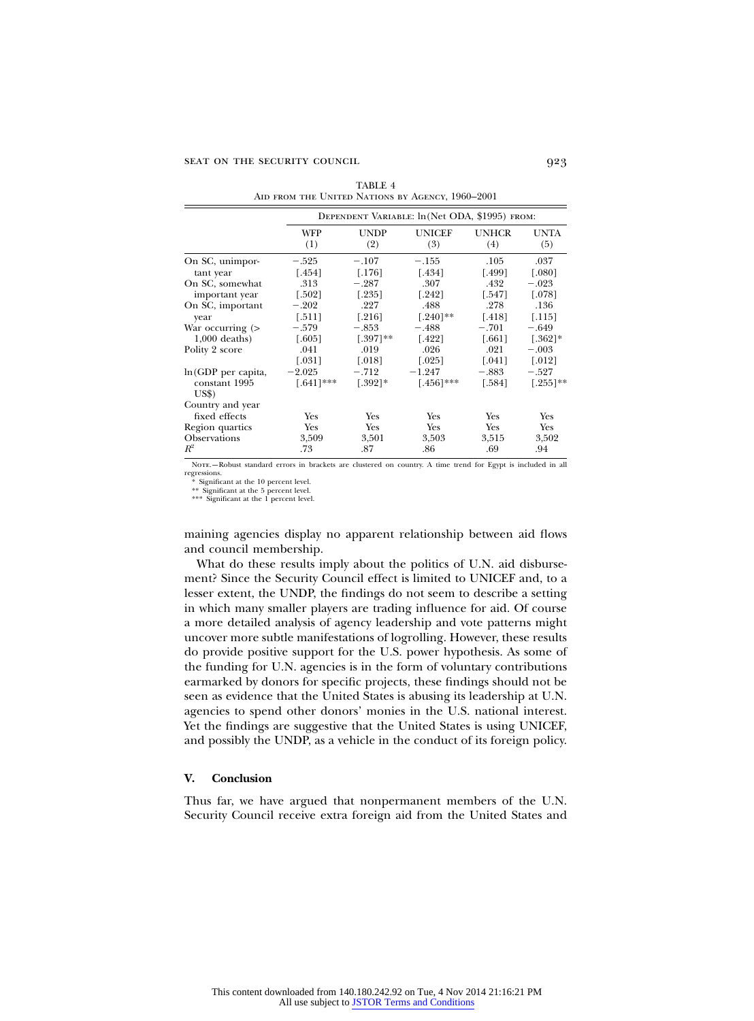|                                                             | AID FROM THE UNITED NATIONS BY AGENCY, 1960–2001 |                                                |                          |                   |                        |  |  |  |  |  |
|-------------------------------------------------------------|--------------------------------------------------|------------------------------------------------|--------------------------|-------------------|------------------------|--|--|--|--|--|
|                                                             |                                                  | DEPENDENT VARIABLE: ln (Net ODA, \$1995) FROM: |                          |                   |                        |  |  |  |  |  |
|                                                             | WFP                                              | <b>UNDP</b>                                    | <b>UNICEF</b>            | <b>UNHCR</b>      | UNTA                   |  |  |  |  |  |
|                                                             | (1)                                              | (2)                                            | (3)                      | (4)               | (5)                    |  |  |  |  |  |
| On SC, unimpor-                                             | $-.525$                                          | $-.107$                                        | $-.155$                  | .105              | .037                   |  |  |  |  |  |
| tant year                                                   | $[.454]$                                         | $[.176]$                                       | [.434]                   | [.499]            | [.080]                 |  |  |  |  |  |
| On SC, somewhat                                             | .313                                             | $-.287$                                        | .307                     | .432              | $-.023$                |  |  |  |  |  |
| important year                                              | 1.502                                            | [.235]                                         | [.242]                   | [.547]            | $[.078]$               |  |  |  |  |  |
| On SC, important                                            | $-.202$                                          | .227                                           | .488                     | .278              | .136                   |  |  |  |  |  |
| year                                                        | $[.511]$                                         | $[.216]$                                       | $[.240]$ **              | $[.418]$          | [.115]                 |  |  |  |  |  |
| War occurring (>                                            | $-.579$                                          | $-.853$                                        | $-.488$                  | $-.701$           | $-.649$                |  |  |  |  |  |
| $1,000$ deaths)                                             | [.605]                                           | $[.397]$ **                                    | $[.422]$                 | $[.661]$          | $[.362]$ *             |  |  |  |  |  |
| Polity 2 score                                              | .041                                             | .019                                           | .026                     | .021              | $-.003$                |  |  |  |  |  |
|                                                             | $[.031]$                                         | $[.018]$                                       | $[.025]$                 | $[.041]$          | $[.012]$               |  |  |  |  |  |
| ln (GDP per capita,<br>constant 1995<br>$\overline{U}$ S\$) | $-2.025$<br>$[.641]$ ***                         | $-.712$<br>$[.392]$ *                          | $-1.247$<br>$[.456]$ *** | $-.883$<br>[.584] | $-.527$<br>$[.255]$ ** |  |  |  |  |  |
| Country and year<br>fixed effects                           | Yes                                              | Yes                                            | Yes                      | Yes               | Yes                    |  |  |  |  |  |
| Region quartics                                             | Yes                                              | Yes                                            | Yes                      | Yes               | Yes                    |  |  |  |  |  |
| Observations                                                | 3,509                                            | 3,501                                          | 3,503                    | 3,515             | 3,502                  |  |  |  |  |  |
| $R^2$                                                       | .73                                              | .87                                            | .86                      | .69               | .94                    |  |  |  |  |  |
|                                                             |                                                  |                                                |                          |                   |                        |  |  |  |  |  |

TABLE 4

Note.—Robust standard errors in brackets are clustered on country. A time trend for Egypt is included in all

regressions.

\* Significant at the 10 percent level.

\*\* Significant at the 5 percent level. \*\*\* Significant at the 1 percent level.

maining agencies display no apparent relationship between aid flows and council membership.

What do these results imply about the politics of U.N. aid disbursement? Since the Security Council effect is limited to UNICEF and, to a lesser extent, the UNDP, the findings do not seem to describe a setting in which many smaller players are trading influence for aid. Of course a more detailed analysis of agency leadership and vote patterns might uncover more subtle manifestations of logrolling. However, these results do provide positive support for the U.S. power hypothesis. As some of the funding for U.N. agencies is in the form of voluntary contributions earmarked by donors for specific projects, these findings should not be seen as evidence that the United States is abusing its leadership at U.N. agencies to spend other donors' monies in the U.S. national interest. Yet the findings are suggestive that the United States is using UNICEF, and possibly the UNDP, as a vehicle in the conduct of its foreign policy.

### **V. Conclusion**

Thus far, we have argued that nonpermanent members of the U.N. Security Council receive extra foreign aid from the United States and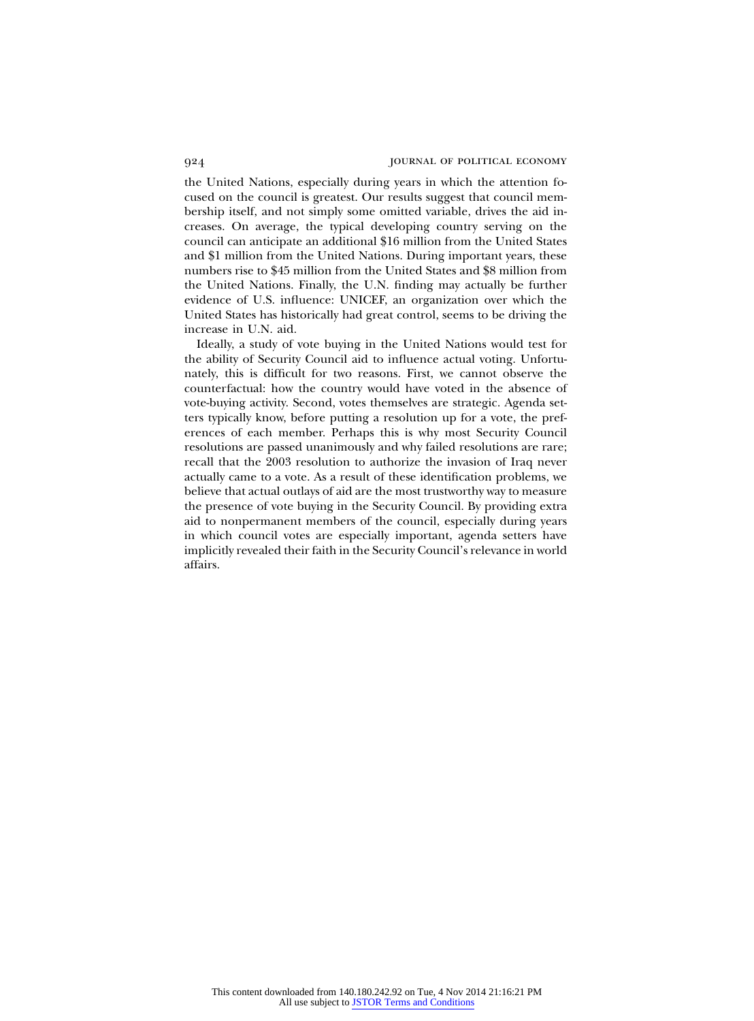the United Nations, especially during years in which the attention focused on the council is greatest. Our results suggest that council membership itself, and not simply some omitted variable, drives the aid increases. On average, the typical developing country serving on the council can anticipate an additional \$16 million from the United States and \$1 million from the United Nations. During important years, these numbers rise to \$45 million from the United States and \$8 million from the United Nations. Finally, the U.N. finding may actually be further evidence of U.S. influence: UNICEF, an organization over which the United States has historically had great control, seems to be driving the increase in U.N. aid.

Ideally, a study of vote buying in the United Nations would test for the ability of Security Council aid to influence actual voting. Unfortunately, this is difficult for two reasons. First, we cannot observe the counterfactual: how the country would have voted in the absence of vote-buying activity. Second, votes themselves are strategic. Agenda setters typically know, before putting a resolution up for a vote, the preferences of each member. Perhaps this is why most Security Council resolutions are passed unanimously and why failed resolutions are rare; recall that the 2003 resolution to authorize the invasion of Iraq never actually came to a vote. As a result of these identification problems, we believe that actual outlays of aid are the most trustworthy way to measure the presence of vote buying in the Security Council. By providing extra aid to nonpermanent members of the council, especially during years in which council votes are especially important, agenda setters have implicitly revealed their faith in the Security Council's relevance in world affairs.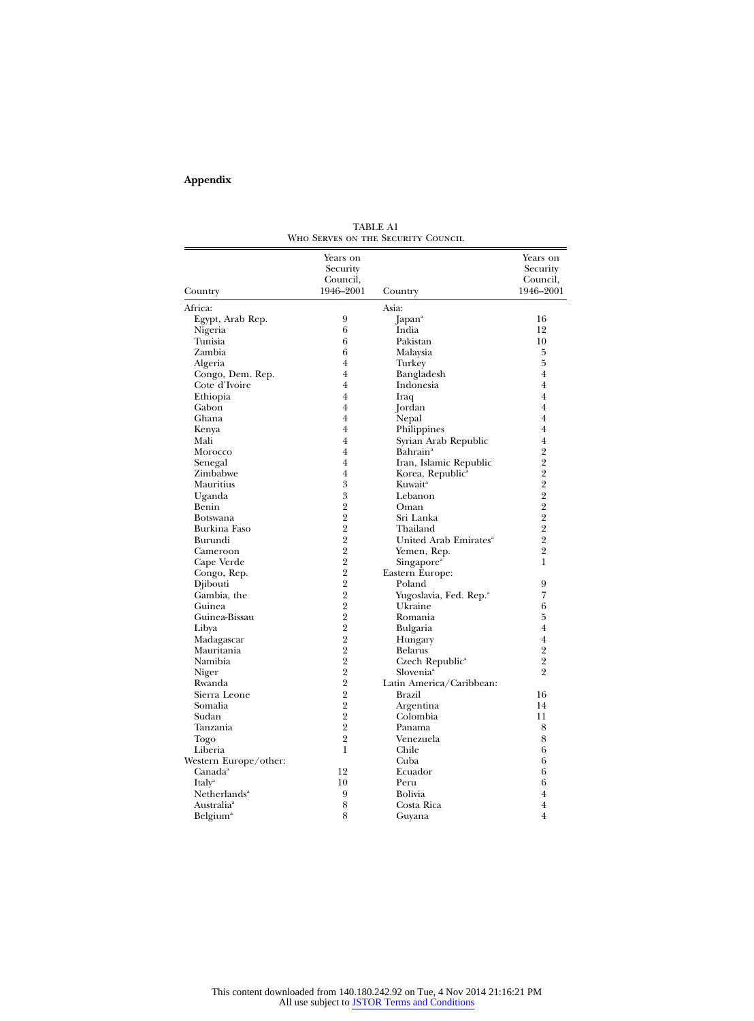## **Appendix**

| Country                  | Years on<br>Security<br>Council,<br>1946-2001 | Country                            | Years on<br>Security<br>Council,<br>1946-2001 |
|--------------------------|-----------------------------------------------|------------------------------------|-----------------------------------------------|
| Africa:                  |                                               | Asia:                              |                                               |
| Egypt, Arab Rep.         | 9                                             | Japan <sup>a</sup>                 | 16                                            |
| Nigeria                  | 6                                             | India                              | 12                                            |
| Tunisia                  | 6                                             | Pakistan                           | 10                                            |
| Zambia                   | 6                                             | Malaysia                           | 5                                             |
| Algeria                  | 4                                             | Turkey                             | 5                                             |
| Congo, Dem. Rep.         | $\overline{4}$                                | Bangladesh                         | $\overline{4}$                                |
| Cote d'Ivoire            | $\overline{4}$                                | Indonesia                          | $\overline{4}$                                |
| Ethiopia                 | 4                                             | Iraq                               | $\overline{4}$                                |
| Gabon                    | $\overline{4}$                                | Jordan                             | $\overline{4}$                                |
| Ghana                    | $\overline{4}$                                | Nepal                              | $\overline{4}$                                |
| Kenya                    | $\overline{4}$                                | Philippines                        | $\overline{4}$                                |
| Mali                     | $\overline{4}$                                | Syrian Arab Republic               | $\overline{4}$                                |
| Morocco                  | $\overline{4}$                                | Bahrain <sup>a</sup>               | $\overline{2}$                                |
| Senegal                  | 4                                             | Iran, Islamic Republic             | $\overline{2}$                                |
| Zimbabwe                 | $\overline{4}$                                | Korea, Republic <sup>a</sup>       | $\overline{2}$                                |
| Mauritius                | 3                                             | Kuwait <sup>a</sup>                | $\overline{2}$                                |
| Uganda                   | 3                                             | Lebanon                            |                                               |
| Benin                    | $\overline{2}$                                | Oman                               | $\frac{2}{2}$ $\frac{2}{2}$                   |
| <b>Botswana</b>          | $\overline{2}$                                | Sri Lanka                          |                                               |
| Burkina Faso             | $\overline{2}$                                | Thailand                           |                                               |
| Burundi                  | $\overline{2}$                                | United Arab Emirates <sup>a</sup>  | $\overline{2}$                                |
| Cameroon                 | $\overline{2}$                                | Yemen, Rep.                        | $\overline{2}$                                |
| Cape Verde               | $\overline{2}$                                | Singapore <sup>a</sup>             | 1                                             |
| Congo, Rep.              | $\overline{2}$                                | Eastern Europe:                    |                                               |
| Djibouti                 | $\overline{2}$                                | Poland                             | 9                                             |
| Gambia, the              | $\overline{2}$                                | Yugoslavia, Fed. Rep. <sup>a</sup> | 7                                             |
| Guinea                   | $\overline{2}$                                | Ukraine                            | 6                                             |
| Guinea-Bissau            | $\overline{2}$                                | Romania                            | 5                                             |
| Libya                    | $\overline{2}$                                | Bulgaria                           | $\overline{4}$                                |
|                          | $\overline{2}$                                |                                    | $\overline{4}$                                |
| Madagascar<br>Mauritania | $\overline{2}$                                | Hungary<br>Belarus                 | $\overline{2}$                                |
| Namibia                  | $\overline{2}$                                | Czech Republic <sup>a</sup>        | $\overline{2}$                                |
|                          | $\overline{2}$                                | Slovenia <sup>a</sup>              | $\overline{2}$                                |
| Niger<br>Rwanda          | $\overline{2}$                                | Latin America/Caribbean:           |                                               |
| Sierra Leone             | $\overline{2}$                                | Brazil                             | 16                                            |
| Somalia                  | $\overline{2}$                                |                                    | 14                                            |
| Sudan                    | $\overline{2}$                                | Argentina<br>Colombia              | 11                                            |
|                          | $\overline{2}$                                |                                    | 8                                             |
| Tanzania                 | $\overline{2}$                                | Panama                             | 8                                             |
| Togo                     | 1                                             | Venezuela                          | 6                                             |
| Liberia                  |                                               | Chile                              |                                               |
| Western Europe/other:    |                                               | Cuba                               | 6                                             |
| Canada <sup>a</sup>      | 12                                            | Ecuador                            | 6                                             |
| Italy <sup>a</sup>       | 10                                            | Peru                               | 6                                             |
| Netherlands <sup>a</sup> | 9                                             | Bolivia                            | $\overline{4}$                                |
| Australiaª               | 8                                             | Costa Rica                         | $\overline{4}$                                |
| Belgium <sup>a</sup>     | 8                                             | Guyana                             | $\overline{4}$                                |

TABLE A1 Who Serves on the Security Council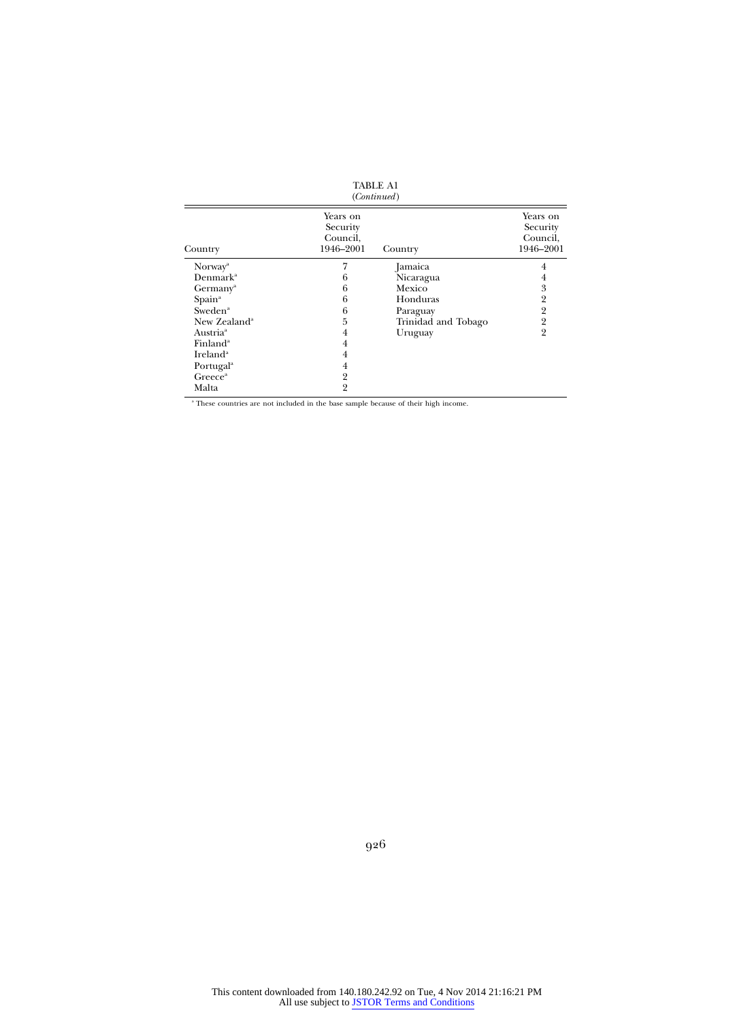|                          |                                               | 1                   |                                               |
|--------------------------|-----------------------------------------------|---------------------|-----------------------------------------------|
| Country                  | Years on<br>Security<br>Council,<br>1946-2001 | Country             | Years on<br>Security<br>Council,<br>1946-2001 |
| Norway <sup>a</sup>      |                                               | Jamaica             | 4                                             |
| Denmark <sup>a</sup>     | h                                             | Nicaragua           |                                               |
| $Germany^a$              | 6                                             | Mexico              | 3                                             |
| Spain <sup>a</sup>       | 6                                             | Honduras            |                                               |
| Sweden <sup>a</sup>      | 6                                             | Paraguay            | 2                                             |
| New Zealand <sup>a</sup> | 5                                             | Trinidad and Tobago | $\overline{2}$                                |
| Austria <sup>a</sup>     | 4                                             | Uruguay             | $\overline{2}$                                |
| Finland <sup>a</sup>     | 4                                             |                     |                                               |
| Ireland <sup>a</sup>     | 4                                             |                     |                                               |
| Portugal <sup>a</sup>    | 4                                             |                     |                                               |
| Greece <sup>a</sup>      | 2                                             |                     |                                               |
| Malta                    | $\overline{2}$                                |                     |                                               |
|                          |                                               |                     |                                               |

 $\,^\mathrm{a}$  These countries are not included in the base sample because of their high income.

926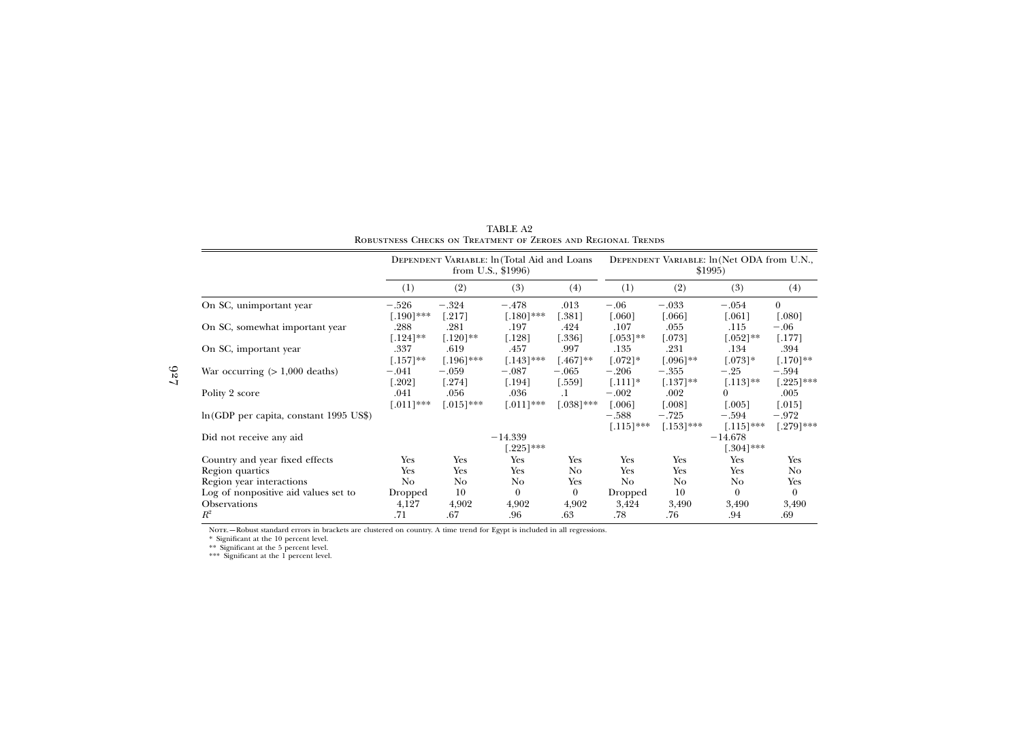|                                          |                         | DEPENDENT VARIABLE: ln (Total Aid and Loans<br>from U.S., $$1996$ ) |                         |                               |                        | DEPENDENT VARIABLE: ln (Net ODA from U.N.,<br>\$1995) |                                     |                         |
|------------------------------------------|-------------------------|---------------------------------------------------------------------|-------------------------|-------------------------------|------------------------|-------------------------------------------------------|-------------------------------------|-------------------------|
|                                          | (1)                     | (2)                                                                 | (3)                     | (4)                           | (1)                    | (2)                                                   | (3)                                 | (4)                     |
| On SC, unimportant year                  | $-.526$<br>$[.190]$ *** | $-.324$<br>$[.217]$                                                 | $-.478$<br>$[.180]$ *** | .013<br>[.381]                | $-.06$<br>[.060]       | $-.033$<br>[.066]                                     | $-.054$<br>$[.061]$                 | $\theta$<br>0.0801      |
| On SC, somewhat important year           | .288<br>$[.124]$ **     | .281<br>$[.120]$ **                                                 | .197<br>$[.128]$        | .424<br>[.336]                | .107<br>$0.0531**$     | .055<br>$[.073]$                                      | .115<br>$0.052$ <sup>**</sup>       | $-.06$<br>[.177]        |
| On SC, important year                    | .337<br>$[.157]$ **     | .619<br>$[.196]$ ***                                                | .457<br>$[.143]$ ***    | .997<br>$1.467$ <sup>**</sup> | .135<br>$0.0721*$      | .231<br>$[.096]$ **                                   | .134<br>$073$ <sup>*</sup>          | .394<br>$[.170]$ **     |
| War occurring $(>1,000 \text{ deaths})$  | $-.041$<br>$202$ ]      | $-.059$<br>$[.274]$                                                 | $-.087$<br>$[.194]$     | $-.065$<br>$[.559]$           | $-.206$<br>$[.111]$ *  | $-.355$<br>$[.137]$ **                                | $-.25$<br>$[.113]$ **               | $-.594$<br>$[.225]$ *** |
| Polity 2 score                           | .041<br>$0.011$ ***     | .056<br>$0.015$ ]***                                                | .036<br>$0.011$ ***     | .1<br>$0.0381***$             | $-.002$<br>[.006]      | .002<br>$0.008$ ]                                     | 0<br>$005$ ]                        | .005<br>$0.015$ ]       |
| $ln(GDP$ per capita, constant 1995 US\$) |                         |                                                                     |                         |                               | $-.588$<br>$[.115]***$ | $-.725$<br>$[.153]***$                                | $-.594$<br>$[.115]***$              | $-.972$<br>$[.279]$ *** |
| Did not receive any aid                  |                         |                                                                     | $-14.339$<br>$225$ ]*** |                               |                        |                                                       | $-14.678$<br>$0.304$ <sup>***</sup> |                         |
| Country and year fixed effects           | Yes                     | Yes                                                                 | Yes                     | Yes                           | Yes                    | Yes                                                   | Yes                                 | Yes                     |
| Region quartics                          | Yes                     | Yes                                                                 | Yes                     | No.                           | Yes                    | Yes                                                   | Yes                                 | No                      |
| Region year interactions                 | No.                     | No                                                                  | No                      | Yes                           | N <sub>o</sub>         | N <sub>o</sub>                                        | No.                                 | Yes                     |
| Log of nonpositive aid values set to     | Dropped                 | 10                                                                  | $\Omega$                | $\theta$                      | Dropped                | 10                                                    | $\theta$                            | $\theta$                |
| Observations                             | 4,127                   | 4,902                                                               | 4,902                   | 4,902                         | 3,424                  | 3,490                                                 | 3,490                               | 3,490                   |
| $R^2$                                    | .71                     | .67                                                                 | .96                     | .63                           | .78                    | .76                                                   | .94                                 | .69                     |

TABLE A2Robustness Checks on Treatment of Zeroes and Regional Trends

Norre.—Robust standard errors in brackets are clustered on country. A time trend for Egypt is included in all regressions<br>\* Significant at the 10 percent level.<br>\*\* Significant at the 5 percent level.<br>\*\*\* Significant at the

927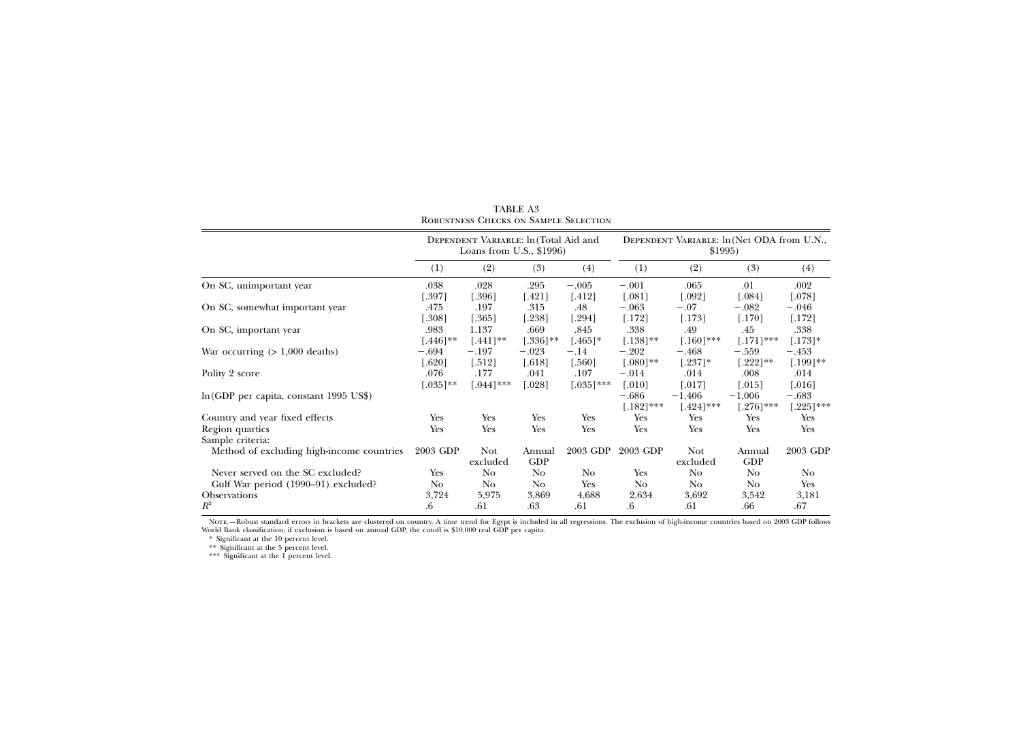|                                                               |                     | DEPENDENT VARIABLE: ln (Total Aid and<br>Loans from U.S., $$1996$ ) |                      |                      |                         | DEPENDENT VARIABLE: ln (Net ODA from U.N.,<br>\$1995) |                          |                         |
|---------------------------------------------------------------|---------------------|---------------------------------------------------------------------|----------------------|----------------------|-------------------------|-------------------------------------------------------|--------------------------|-------------------------|
|                                                               | (1)                 | (2)                                                                 | (3)                  | (4)                  | (1)                     | (2)                                                   | (3)                      | (4)                     |
| On SC, unimportant year                                       | .038<br>.3971       | .028<br>[.396]                                                      | .295<br>$[.421]$     | $-.005$<br>$[.412]$  | $-.001$<br>0.0811       | .065<br>[.092]                                        | .01<br>084               | .002<br>$[.078]$        |
| On SC, somewhat important year                                | .475<br>.308]       | .197<br>[.365]                                                      | .315<br>[.238]       | .48<br>[.294]        | $-.063$<br>[.172]       | $-.07$<br>[.173]                                      | $-.082$<br>$[.170]$      | $-.046$<br>[.172]       |
| On SC, important year                                         | .983<br>$[.446]$ ** | 1.137<br>$[.441]$ **                                                | .669<br>$[.336]$ **  | .845<br>$[.465]$ *   | .338<br>$[.138]$ **     | .49<br>$[.160]$ ***                                   | .45<br>$[.171]$ ***      | .338<br>$[.173]$ *      |
| War occurring $(>1,000 \text{ deaths})$                       | $-.694$<br>0.6201   | $-.197$<br>$[.512]$                                                 | $-.023$<br>[.618]    | $-.14$<br>[.560]     | $-.202$<br>$0.0801**$   | $-.468$<br>$[.237]$ *                                 | $-.559$<br>$[.222]$ **   | $-.453$<br>$[.199]$ **  |
| Polity 2 score                                                | .076<br>$0.0351**$  | .177<br>$[.044]$ ***                                                | .041<br>$[.028]$     | .107<br>$[.035]$ *** | $-.014$<br>[.010]       | .014<br>0.017                                         | .008<br>$0.015$ ]        | .014<br>$[.016]$        |
| $ln(GDP$ per capita, constant 1995 US\$)                      |                     |                                                                     |                      |                      | $-.686$<br>$[.182]$ *** | $-1.406$<br>$[.424]$ ***                              | $-1.006$<br>$[.276]$ *** | $-.683$<br>$[.225]$ *** |
| Country and year fixed effects                                | Yes                 | Yes                                                                 | Yes                  | Yes                  | Yes                     | Yes                                                   | Yes                      | Yes                     |
| Region quartics                                               | Yes                 | Yes                                                                 | Yes                  | Yes                  | Yes                     | Yes                                                   | Yes                      | Yes                     |
| Sample criteria:<br>Method of excluding high-income countries | 2003 GDP            | <b>Not</b><br>excluded                                              | Annual<br><b>GDP</b> | 2003 GDP             | 2003 GDP                | <b>Not</b><br>excluded                                | Annual<br><b>GDP</b>     | 2003 GDP                |
| Never served on the SC excluded?                              | Yes                 | No                                                                  | No.                  | No                   | Yes                     | No                                                    | No.                      | No                      |
| Gulf War period (1990–91) excluded?                           | No                  | No.                                                                 | No                   | Yes                  | No                      | No                                                    | No.                      | Yes                     |
| <b>Observations</b>                                           | 3,724               | 5,975                                                               | 3,869                | 4,688                | 2,634                   | 3,692                                                 | 3,542                    | 3,181                   |
| $R^2$                                                         | .6                  | .61                                                                 | .63                  | .61                  | $.6\phantom{0}$         | .61                                                   | .66                      | .67                     |

TABLE A3Robustness Checks on Sample Selection

Norr.—Robust standard errors in brackets are clustered on country. A time trend for Egypt is included in all regressions. The exclusion of high-income countries based on 2003 GDP follows<br>World Bank classification; if exclu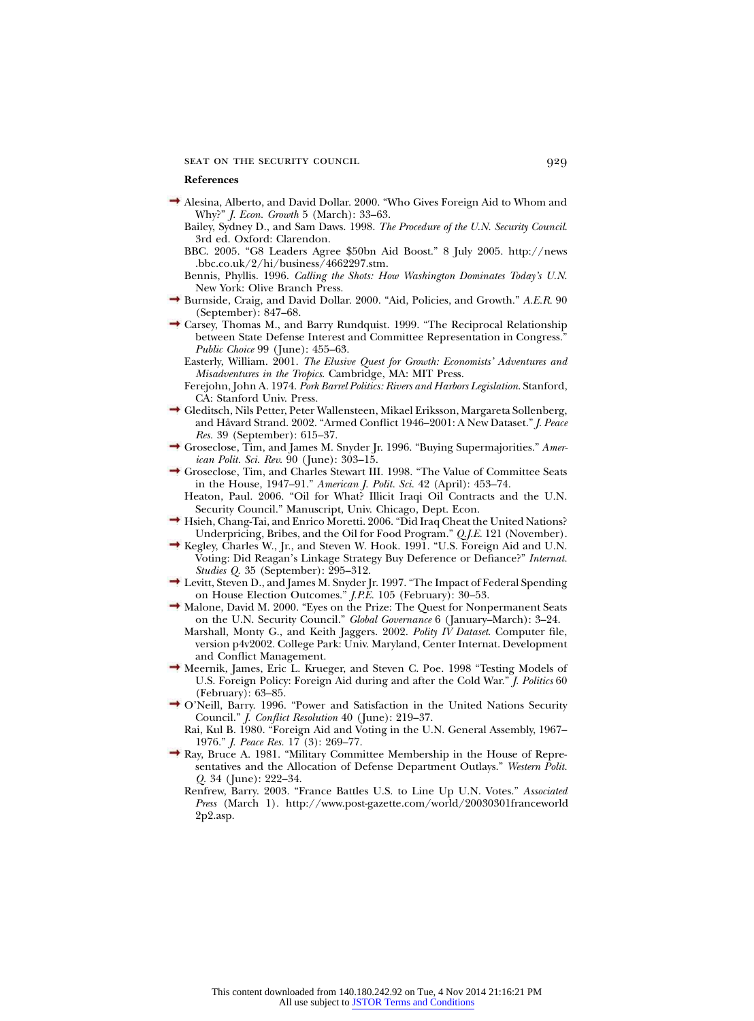SEAT ON THE SECURITY COUNCIL 929

### **References**

- Alesina, Alberto, and David Dollar. 2000. "Who Gives Foreign Aid to Whom and Why?" *J. Econ. Growth* 5 (March): 33–63.
	- Bailey, Sydney D., and Sam Daws. 1998. *The Procedure of the U.N. Security Council*. 3rd ed. Oxford: Clarendon.
	- BBC. 2005. "G8 Leaders Agree \$50bn Aid Boost." 8 July 2005. http://news .bbc.co.uk/2/hi/business/4662297.stm.
	- Bennis, Phyllis. 1996. *Calling the Shots: How Washington Dominates Today's U.N*. New York: Olive Branch Press.
- Burnside, Craig, and David Dollar. 2000. "Aid, Policies, and Growth." *A.E.R.* 90 (September): 847–68.
- Carsey, Thomas M., and Barry Rundquist. 1999. "The Reciprocal Relationship between State Defense Interest and Committee Representation in Congress. *Public Choice* 99 (June): 455–63.
	- Easterly, William. 2001. *The Elusive Quest for Growth: Economists' Adventures and Misadventures in the Tropics*. Cambridge, MA: MIT Press.
	- Ferejohn, John A. 1974. *Pork Barrel Politics: Rivers and Harbors Legislation*. Stanford, CA: Stanford Univ. Press.
- Gleditsch, Nils Petter, Peter Wallensteen, Mikael Eriksson, Margareta Sollenberg, and Håvard Strand. 2002. "Armed Conflict 1946-2001: A New Dataset." *J. Peace Res.* 39 (September): 615–37.
- Groseclose, Tim, and James M. Snyder Jr. 1996. "Buying Supermajorities." *American Polit. Sci. Rev.* 90 (June): 303–15.
- Groseclose, Tim, and Charles Stewart III. 1998. "The Value of Committee Seats in the House, 1947–91." *American J. Polit. Sci.* 42 (April): 453–74.
	- Heaton, Paul. 2006. "Oil for What? Illicit Iraqi Oil Contracts and the U.N. Security Council." Manuscript, Univ. Chicago, Dept. Econ.
- Hsieh, Chang-Tai, and Enrico Moretti. 2006. "Did Iraq Cheat the United Nations? Underpricing, Bribes, and the Oil for Food Program." *Q.J.E.* 121 (November).
- Kegley, Charles W., Jr., and Steven W. Hook. 1991. "U.S. Foreign Aid and U.N. Voting: Did Reagan's Linkage Strategy Buy Deference or Defiance?" *Internat. Studies Q.* 35 (September): 295–312.
- Levitt, Steven D., and James M. Snyder Jr. 1997. "The Impact of Federal Spending on House Election Outcomes." *J.P.E.* 105 (February): 30–53.
- $\rightarrow$  Malone, David M. 2000. "Eyes on the Prize: The Quest for Nonpermanent Seats on the U.N. Security Council." *Global Governance* 6 (January–March): 3–24.
- Marshall, Monty G., and Keith Jaggers. 2002. *Polity IV Dataset*. Computer file, version p4v2002. College Park: Univ. Maryland, Center Internat. Development and Conflict Management.
- Meernik, James, Eric L. Krueger, and Steven C. Poe. 1998 "Testing Models of U.S. Foreign Policy: Foreign Aid during and after the Cold War." *J. Politics* 60 (February): 63–85.
- O'Neill, Barry. 1996. "Power and Satisfaction in the United Nations Security Council." *J. Conflict Resolution* 40 (June): 219–37.
- Rai, Kul B. 1980. "Foreign Aid and Voting in the U.N. General Assembly, 1967– 1976." *J. Peace Res.* 17 (3): 269–77.
- Ray, Bruce A. 1981. "Military Committee Membership in the House of Representatives and the Allocation of Defense Department Outlays." *Western Polit. Q.* 34 (June): 222–34.
	- Renfrew, Barry. 2003. "France Battles U.S. to Line Up U.N. Votes." *Associated Press* (March 1). http://www.post-gazette.com/world/20030301franceworld 2p2.asp.